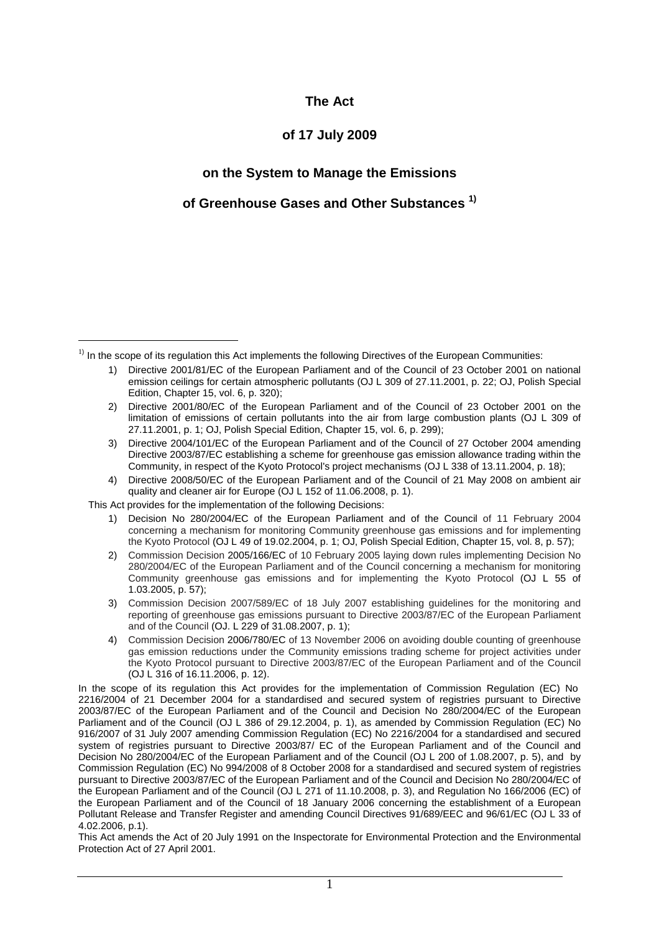#### **The Act**

#### **of 17 July 2009**

#### **on the System to Manage the Emissions**

#### **of Greenhouse Gases and Other Substances 1)**

This Act provides for the implementation of the following Decisions:

 $\overline{a}$ 

- 1) Decision No 280/2004/EC of the European Parliament and of the Council of 11 February 2004 concerning a mechanism for monitoring Community greenhouse gas emissions and for implementing the Kyoto Protocol (OJ L 49 of 19.02.2004, p. 1; OJ, Polish Special Edition, Chapter 15, vol. 8, p. 57);
- 2) Commission Decision 2005/166/EC of 10 February 2005 laying down rules implementing Decision No 280/2004/EC of the European Parliament and of the Council concerning a mechanism for monitoring Community greenhouse gas emissions and for implementing the Kyoto Protocol (OJ L 55 of 1.03.2005, p. 57);
- 3) Commission Decision 2007/589/EC of 18 July 2007 establishing guidelines for the monitoring and reporting of greenhouse gas emissions pursuant to Directive 2003/87/EC of the European Parliament and of the Council (OJ. L 229 of 31.08.2007, p. 1);
- 4) Commission Decision 2006/780/EC of 13 November 2006 on avoiding double counting of greenhouse gas emission reductions under the Community emissions trading scheme for project activities under the Kyoto Protocol pursuant to Directive 2003/87/EC of the European Parliament and of the Council (OJ L 316 of 16.11.2006, p. 12).

In the scope of its regulation this Act provides for the implementation of Commission Regulation (EC) No 2216/2004 of 21 December 2004 for a standardised and secured system of registries pursuant to Directive 2003/87/EC of the European Parliament and of the Council and Decision No 280/2004/EC of the European Parliament and of the Council (OJ L 386 of 29.12.2004, p. 1), as amended by Commission Regulation (EC) No 916/2007 of 31 July 2007 amending Commission Regulation (EC) No 2216/2004 for a standardised and secured system of registries pursuant to Directive 2003/87/ EC of the European Parliament and of the Council and Decision No 280/2004/EC of the European Parliament and of the Council (OJ L 200 of 1.08.2007, p. 5), and by Commission Regulation (EC) No 994/2008 of 8 October 2008 for a standardised and secured system of registries pursuant to Directive 2003/87/EC of the European Parliament and of the Council and Decision No 280/2004/EC of the European Parliament and of the Council (OJ L 271 of 11.10.2008, p. 3), and Regulation No 166/2006 (EC) of the European Parliament and of the Council of 18 January 2006 concerning the establishment of a European Pollutant Release and Transfer Register and amending Council Directives 91/689/EEC and 96/61/EC (OJ L 33 of 4.02.2006, p.1).

This Act amends the Act of 20 July 1991 on the Inspectorate for Environmental Protection and the Environmental Protection Act of 27 April 2001.

<sup>&</sup>lt;sup>1)</sup> In the scope of its regulation this Act implements the following Directives of the European Communities:

<sup>1)</sup> Directive 2001/81/EC of the European Parliament and of the Council of 23 October 2001 on national emission ceilings for certain atmospheric pollutants (OJ L 309 of 27.11.2001, p. 22; OJ, Polish Special Edition, Chapter 15, vol. 6, p. 320);

<sup>2)</sup> Directive 2001/80/EC of the European Parliament and of the Council of 23 October 2001 on the limitation of emissions of certain pollutants into the air from large combustion plants (OJ L 309 of 27.11.2001, p. 1; OJ, Polish Special Edition, Chapter 15, vol. 6, p. 299);

<sup>3)</sup> Directive 2004/101/EC of the European Parliament and of the Council of 27 October 2004 amending Directive 2003/87/EC establishing a scheme for greenhouse gas emission allowance trading within the Community, in respect of the Kyoto Protocol's project mechanisms (OJ L 338 of 13.11.2004, p. 18);

<sup>4)</sup> Directive 2008/50/EC of the European Parliament and of the Council of 21 May 2008 on ambient air quality and cleaner air for Europe (OJ L 152 of 11.06.2008, p. 1).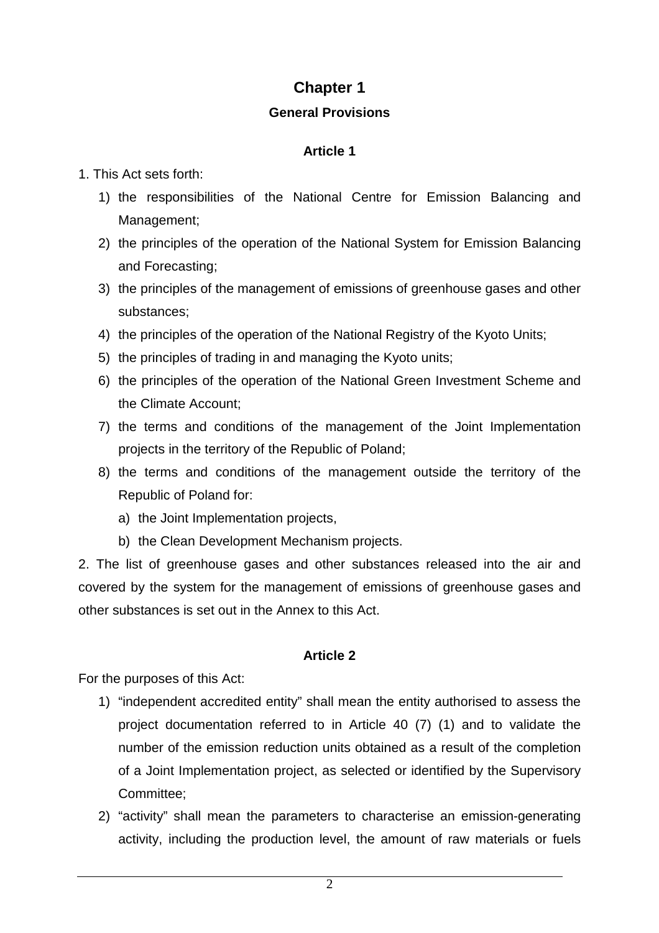# **Chapter 1**

## **General Provisions**

# **Article 1**

## 1. This Act sets forth:

- 1) the responsibilities of the National Centre for Emission Balancing and Management;
- 2) the principles of the operation of the National System for Emission Balancing and Forecasting;
- 3) the principles of the management of emissions of greenhouse gases and other substances;
- 4) the principles of the operation of the National Registry of the Kyoto Units;
- 5) the principles of trading in and managing the Kyoto units;
- 6) the principles of the operation of the National Green Investment Scheme and the Climate Account;
- 7) the terms and conditions of the management of the Joint Implementation projects in the territory of the Republic of Poland;
- 8) the terms and conditions of the management outside the territory of the Republic of Poland for:
	- a) the Joint Implementation projects,
	- b) the Clean Development Mechanism projects.

2. The list of greenhouse gases and other substances released into the air and covered by the system for the management of emissions of greenhouse gases and other substances is set out in the Annex to this Act.

# **Article 2**

For the purposes of this Act:

- 1) "independent accredited entity" shall mean the entity authorised to assess the project documentation referred to in Article 40 (7) (1) and to validate the number of the emission reduction units obtained as a result of the completion of a Joint Implementation project, as selected or identified by the Supervisory Committee;
- 2) "activity" shall mean the parameters to characterise an emission-generating activity, including the production level, the amount of raw materials or fuels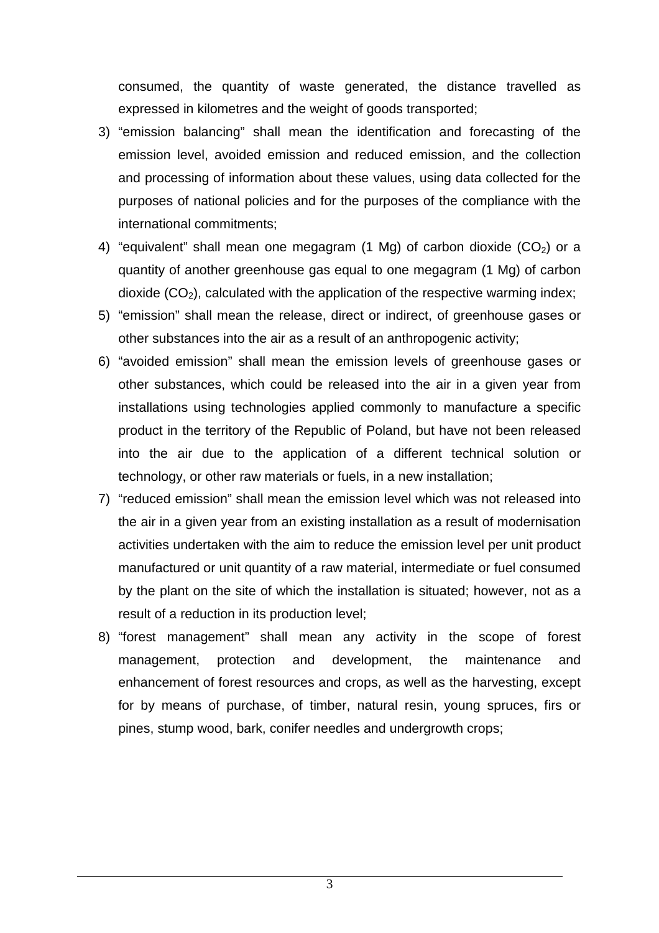consumed, the quantity of waste generated, the distance travelled as expressed in kilometres and the weight of goods transported;

- 3) "emission balancing" shall mean the identification and forecasting of the emission level, avoided emission and reduced emission, and the collection and processing of information about these values, using data collected for the purposes of national policies and for the purposes of the compliance with the international commitments;
- 4) "equivalent" shall mean one megagram (1 Mg) of carbon dioxide  $(CO<sub>2</sub>)$  or a quantity of another greenhouse gas equal to one megagram (1 Mg) of carbon dioxide  $(CO<sub>2</sub>)$ , calculated with the application of the respective warming index;
- 5) "emission" shall mean the release, direct or indirect, of greenhouse gases or other substances into the air as a result of an anthropogenic activity;
- 6) "avoided emission" shall mean the emission levels of greenhouse gases or other substances, which could be released into the air in a given year from installations using technologies applied commonly to manufacture a specific product in the territory of the Republic of Poland, but have not been released into the air due to the application of a different technical solution or technology, or other raw materials or fuels, in a new installation;
- 7) "reduced emission" shall mean the emission level which was not released into the air in a given year from an existing installation as a result of modernisation activities undertaken with the aim to reduce the emission level per unit product manufactured or unit quantity of a raw material, intermediate or fuel consumed by the plant on the site of which the installation is situated; however, not as a result of a reduction in its production level;
- 8) "forest management" shall mean any activity in the scope of forest management, protection and development, the maintenance and enhancement of forest resources and crops, as well as the harvesting, except for by means of purchase, of timber, natural resin, young spruces, firs or pines, stump wood, bark, conifer needles and undergrowth crops;

3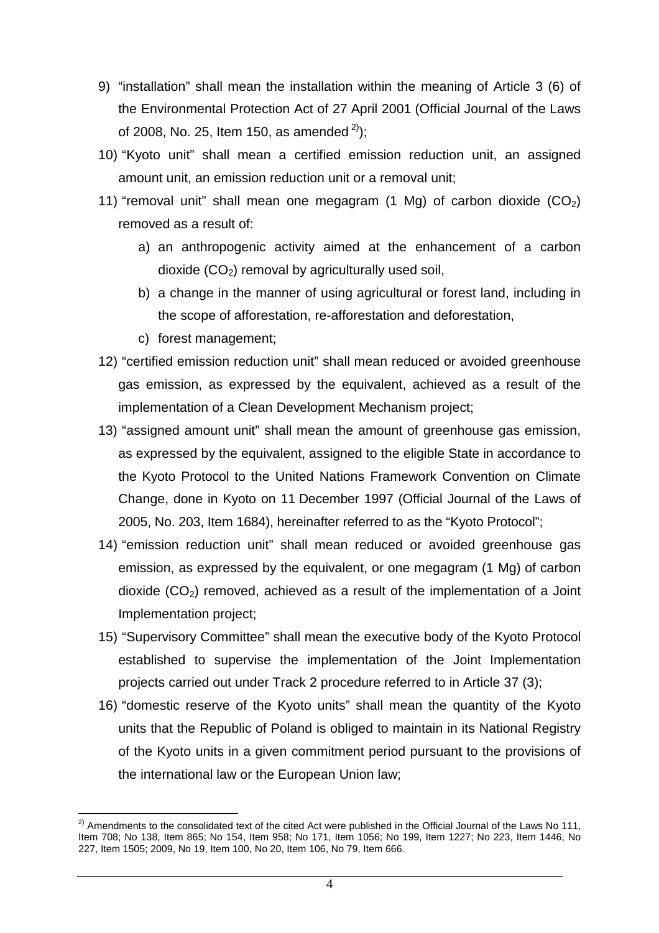- 9) "installation" shall mean the installation within the meaning of Article 3 (6) of the Environmental Protection Act of 27 April 2001 (Official Journal of the Laws of 2008, No. 25, Item 150, as amended  $^{2}$ ):
- 10) "Kyoto unit" shall mean a certified emission reduction unit, an assigned amount unit, an emission reduction unit or a removal unit;
- 11) "removal unit" shall mean one megagram (1 Mg) of carbon dioxide  $(CO<sub>2</sub>)$ removed as a result of:
	- a) an anthropogenic activity aimed at the enhancement of a carbon dioxide  $(CO<sub>2</sub>)$  removal by agriculturally used soil,
	- b) a change in the manner of using agricultural or forest land, including in the scope of afforestation, re-afforestation and deforestation,
	- c) forest management;
- 12) "certified emission reduction unit" shall mean reduced or avoided greenhouse gas emission, as expressed by the equivalent, achieved as a result of the implementation of a Clean Development Mechanism project;
- 13) "assigned amount unit" shall mean the amount of greenhouse gas emission, as expressed by the equivalent, assigned to the eligible State in accordance to the Kyoto Protocol to the United Nations Framework Convention on Climate Change, done in Kyoto on 11 December 1997 (Official Journal of the Laws of 2005, No. 203, Item 1684), hereinafter referred to as the "Kyoto Protocol";
- 14) "emission reduction unit" shall mean reduced or avoided greenhouse gas emission, as expressed by the equivalent, or one megagram (1 Mg) of carbon dioxide  $(CO<sub>2</sub>)$  removed, achieved as a result of the implementation of a Joint Implementation project;
- 15) "Supervisory Committee" shall mean the executive body of the Kyoto Protocol established to supervise the implementation of the Joint Implementation projects carried out under Track 2 procedure referred to in Article 37 (3);
- 16) "domestic reserve of the Kyoto units" shall mean the quantity of the Kyoto units that the Republic of Poland is obliged to maintain in its National Registry of the Kyoto units in a given commitment period pursuant to the provisions of the international law or the European Union law;

 $\overline{\phantom{a}}$  $^{2)}$  Amendments to the consolidated text of the cited Act were published in the Official Journal of the Laws No 111, Item 708; No 138, Item 865; No 154, Item 958; No 171, Item 1056; No 199, Item 1227; No 223, Item 1446, No 227, Item 1505; 2009, No 19, Item 100, No 20, Item 106, No 79, Item 666.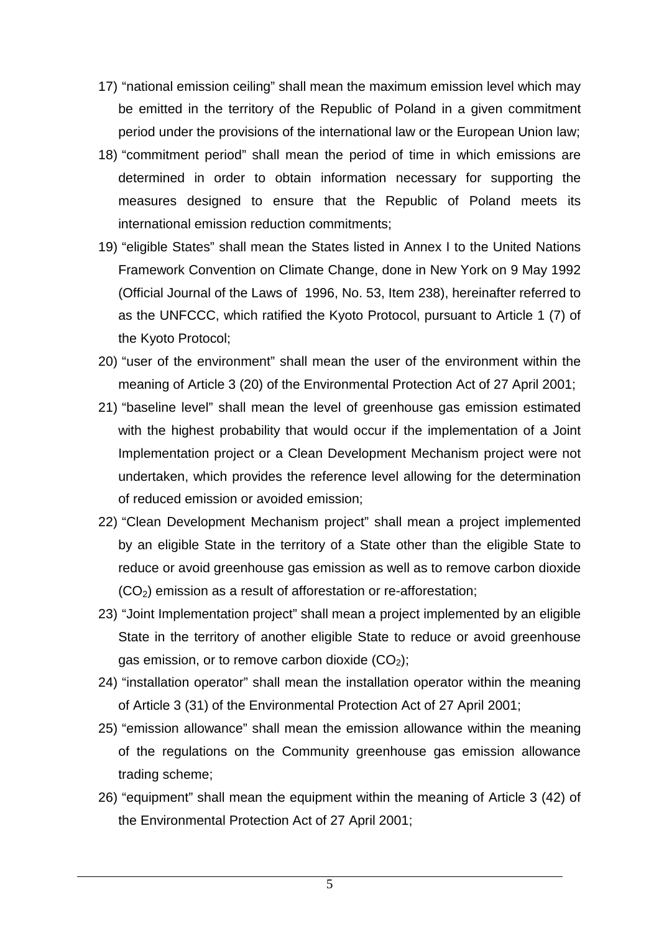- 17) "national emission ceiling" shall mean the maximum emission level which may be emitted in the territory of the Republic of Poland in a given commitment period under the provisions of the international law or the European Union law;
- 18) "commitment period" shall mean the period of time in which emissions are determined in order to obtain information necessary for supporting the measures designed to ensure that the Republic of Poland meets its international emission reduction commitments;
- 19) "eligible States" shall mean the States listed in Annex I to the United Nations Framework Convention on Climate Change, done in New York on 9 May 1992 (Official Journal of the Laws of 1996, No. 53, Item 238), hereinafter referred to as the UNFCCC, which ratified the Kyoto Protocol, pursuant to Article 1 (7) of the Kyoto Protocol;
- 20) "user of the environment" shall mean the user of the environment within the meaning of Article 3 (20) of the Environmental Protection Act of 27 April 2001;
- 21) "baseline level" shall mean the level of greenhouse gas emission estimated with the highest probability that would occur if the implementation of a Joint Implementation project or a Clean Development Mechanism project were not undertaken, which provides the reference level allowing for the determination of reduced emission or avoided emission;
- 22) "Clean Development Mechanism project" shall mean a project implemented by an eligible State in the territory of a State other than the eligible State to reduce or avoid greenhouse gas emission as well as to remove carbon dioxide  $(CO<sub>2</sub>)$  emission as a result of afforestation or re-afforestation;
- 23) "Joint Implementation project" shall mean a project implemented by an eligible State in the territory of another eligible State to reduce or avoid greenhouse gas emission, or to remove carbon dioxide  $(CO<sub>2</sub>)$ ;
- 24) "installation operator" shall mean the installation operator within the meaning of Article 3 (31) of the Environmental Protection Act of 27 April 2001;
- 25) "emission allowance" shall mean the emission allowance within the meaning of the regulations on the Community greenhouse gas emission allowance trading scheme;
- 26) "equipment" shall mean the equipment within the meaning of Article 3 (42) of the Environmental Protection Act of 27 April 2001;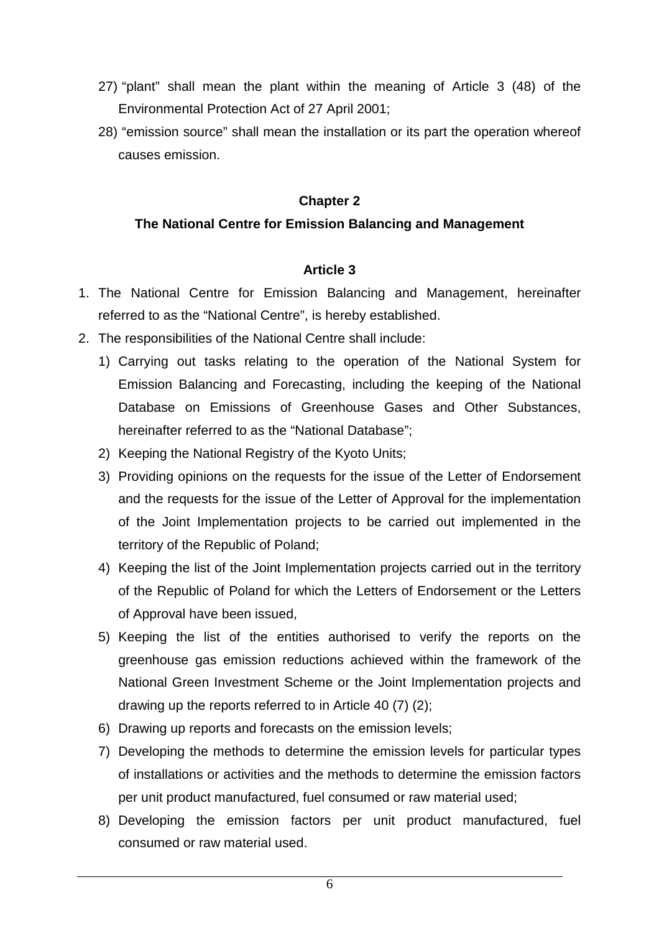- 27) "plant" shall mean the plant within the meaning of Article 3 (48) of the Environmental Protection Act of 27 April 2001;
- 28) "emission source" shall mean the installation or its part the operation whereof causes emission.

#### **Chapter 2**

#### **The National Centre for Emission Balancing and Management**

- 1. The National Centre for Emission Balancing and Management, hereinafter referred to as the "National Centre", is hereby established.
- 2. The responsibilities of the National Centre shall include:
	- 1) Carrying out tasks relating to the operation of the National System for Emission Balancing and Forecasting, including the keeping of the National Database on Emissions of Greenhouse Gases and Other Substances, hereinafter referred to as the "National Database";
	- 2) Keeping the National Registry of the Kyoto Units;
	- 3) Providing opinions on the requests for the issue of the Letter of Endorsement and the requests for the issue of the Letter of Approval for the implementation of the Joint Implementation projects to be carried out implemented in the territory of the Republic of Poland;
	- 4) Keeping the list of the Joint Implementation projects carried out in the territory of the Republic of Poland for which the Letters of Endorsement or the Letters of Approval have been issued,
	- 5) Keeping the list of the entities authorised to verify the reports on the greenhouse gas emission reductions achieved within the framework of the National Green Investment Scheme or the Joint Implementation projects and drawing up the reports referred to in Article 40 (7) (2);
	- 6) Drawing up reports and forecasts on the emission levels;
	- 7) Developing the methods to determine the emission levels for particular types of installations or activities and the methods to determine the emission factors per unit product manufactured, fuel consumed or raw material used;
	- 8) Developing the emission factors per unit product manufactured, fuel consumed or raw material used.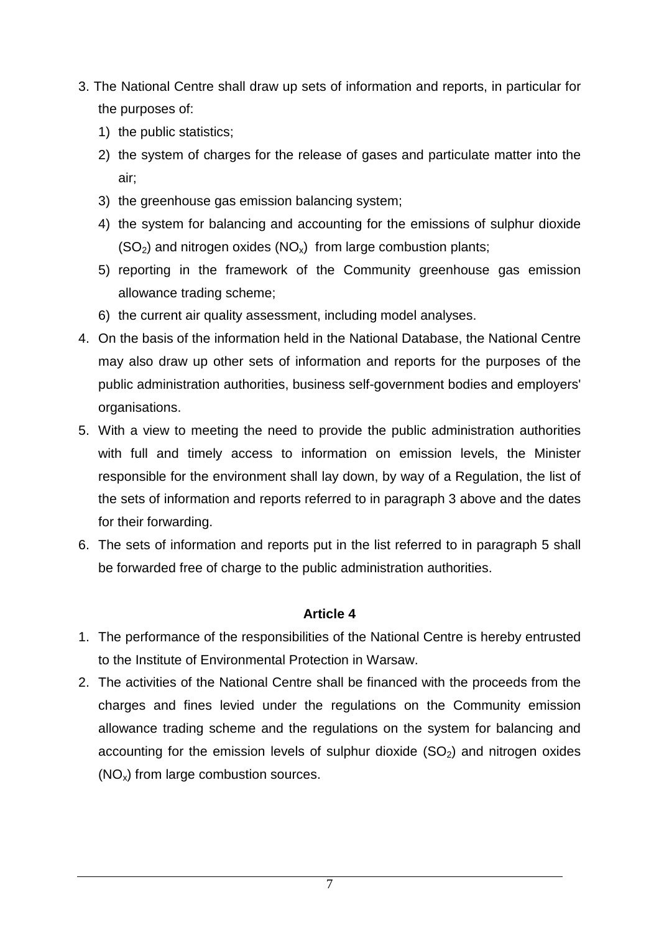- 3. The National Centre shall draw up sets of information and reports, in particular for the purposes of:
	- 1) the public statistics;
	- 2) the system of charges for the release of gases and particulate matter into the air;
	- 3) the greenhouse gas emission balancing system;
	- 4) the system for balancing and accounting for the emissions of sulphur dioxide  $(SO<sub>2</sub>)$  and nitrogen oxides  $(NO<sub>x</sub>)$  from large combustion plants;
	- 5) reporting in the framework of the Community greenhouse gas emission allowance trading scheme;
	- 6) the current air quality assessment, including model analyses.
- 4. On the basis of the information held in the National Database, the National Centre may also draw up other sets of information and reports for the purposes of the public administration authorities, business self-government bodies and employers' organisations.
- 5. With a view to meeting the need to provide the public administration authorities with full and timely access to information on emission levels, the Minister responsible for the environment shall lay down, by way of a Regulation, the list of the sets of information and reports referred to in paragraph 3 above and the dates for their forwarding.
- 6. The sets of information and reports put in the list referred to in paragraph 5 shall be forwarded free of charge to the public administration authorities.

- 1. The performance of the responsibilities of the National Centre is hereby entrusted to the Institute of Environmental Protection in Warsaw.
- 2. The activities of the National Centre shall be financed with the proceeds from the charges and fines levied under the regulations on the Community emission allowance trading scheme and the regulations on the system for balancing and accounting for the emission levels of sulphur dioxide  $(SO<sub>2</sub>)$  and nitrogen oxides  $(NO<sub>x</sub>)$  from large combustion sources.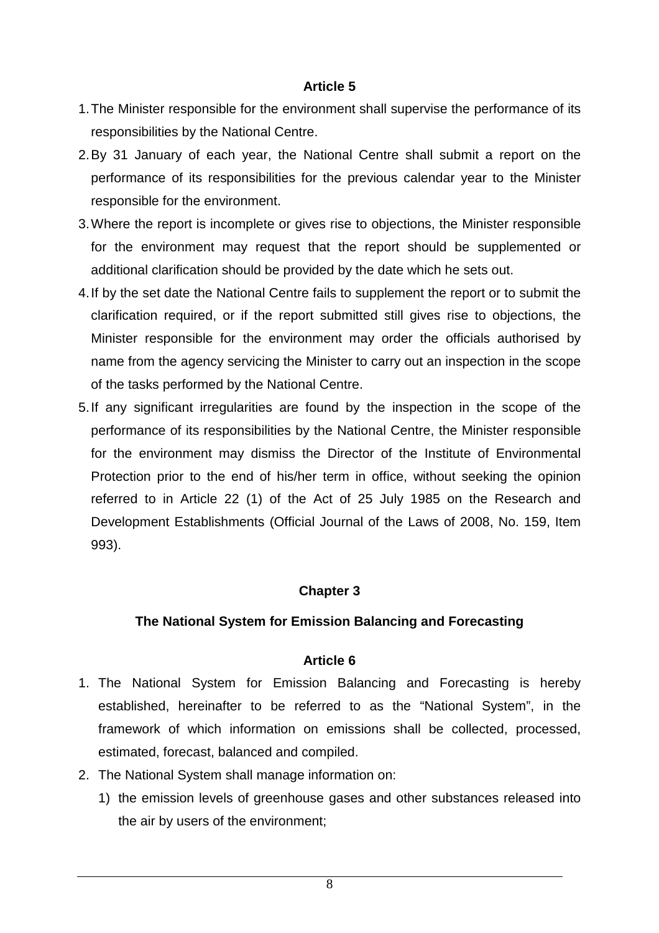- 1. The Minister responsible for the environment shall supervise the performance of its responsibilities by the National Centre.
- 2. By 31 January of each year, the National Centre shall submit a report on the performance of its responsibilities for the previous calendar year to the Minister responsible for the environment.
- 3. Where the report is incomplete or gives rise to objections, the Minister responsible for the environment may request that the report should be supplemented or additional clarification should be provided by the date which he sets out.
- 4. If by the set date the National Centre fails to supplement the report or to submit the clarification required, or if the report submitted still gives rise to objections, the Minister responsible for the environment may order the officials authorised by name from the agency servicing the Minister to carry out an inspection in the scope of the tasks performed by the National Centre.
- 5. If any significant irregularities are found by the inspection in the scope of the performance of its responsibilities by the National Centre, the Minister responsible for the environment may dismiss the Director of the Institute of Environmental Protection prior to the end of his/her term in office, without seeking the opinion referred to in Article 22 (1) of the Act of 25 July 1985 on the Research and Development Establishments (Official Journal of the Laws of 2008, No. 159, Item 993).

### **Chapter 3**

### **The National System for Emission Balancing and Forecasting**

- 1. The National System for Emission Balancing and Forecasting is hereby established, hereinafter to be referred to as the "National System", in the framework of which information on emissions shall be collected, processed, estimated, forecast, balanced and compiled.
- 2. The National System shall manage information on:
	- 1) the emission levels of greenhouse gases and other substances released into the air by users of the environment;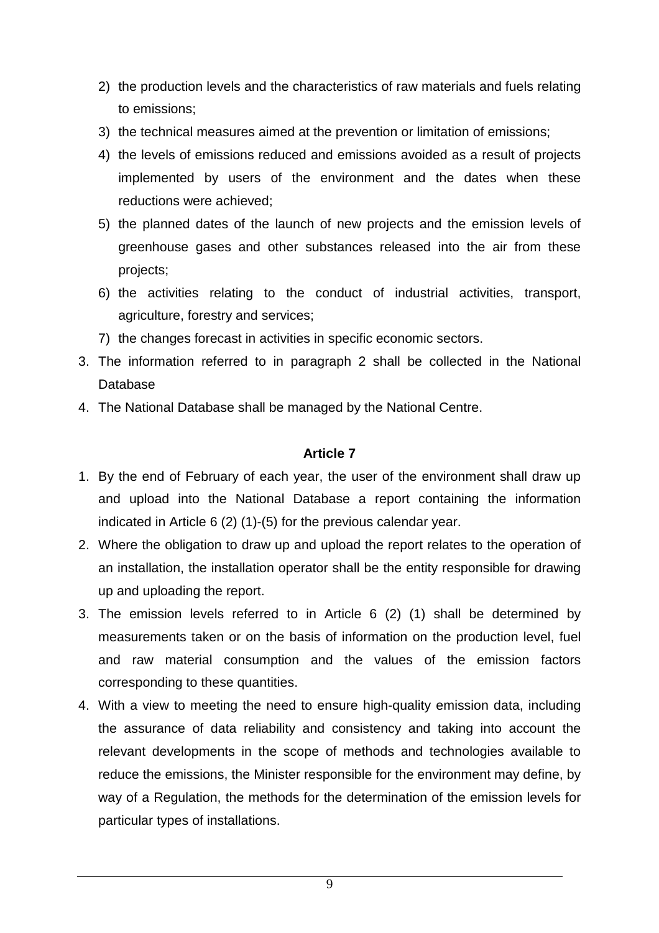- 2) the production levels and the characteristics of raw materials and fuels relating to emissions;
- 3) the technical measures aimed at the prevention or limitation of emissions;
- 4) the levels of emissions reduced and emissions avoided as a result of projects implemented by users of the environment and the dates when these reductions were achieved;
- 5) the planned dates of the launch of new projects and the emission levels of greenhouse gases and other substances released into the air from these projects;
- 6) the activities relating to the conduct of industrial activities, transport, agriculture, forestry and services;
- 7) the changes forecast in activities in specific economic sectors.
- 3. The information referred to in paragraph 2 shall be collected in the National Database
- 4. The National Database shall be managed by the National Centre.

- 1. By the end of February of each year, the user of the environment shall draw up and upload into the National Database a report containing the information indicated in Article 6 (2) (1)-(5) for the previous calendar year.
- 2. Where the obligation to draw up and upload the report relates to the operation of an installation, the installation operator shall be the entity responsible for drawing up and uploading the report.
- 3. The emission levels referred to in Article 6 (2) (1) shall be determined by measurements taken or on the basis of information on the production level, fuel and raw material consumption and the values of the emission factors corresponding to these quantities.
- 4. With a view to meeting the need to ensure high-quality emission data, including the assurance of data reliability and consistency and taking into account the relevant developments in the scope of methods and technologies available to reduce the emissions, the Minister responsible for the environment may define, by way of a Regulation, the methods for the determination of the emission levels for particular types of installations.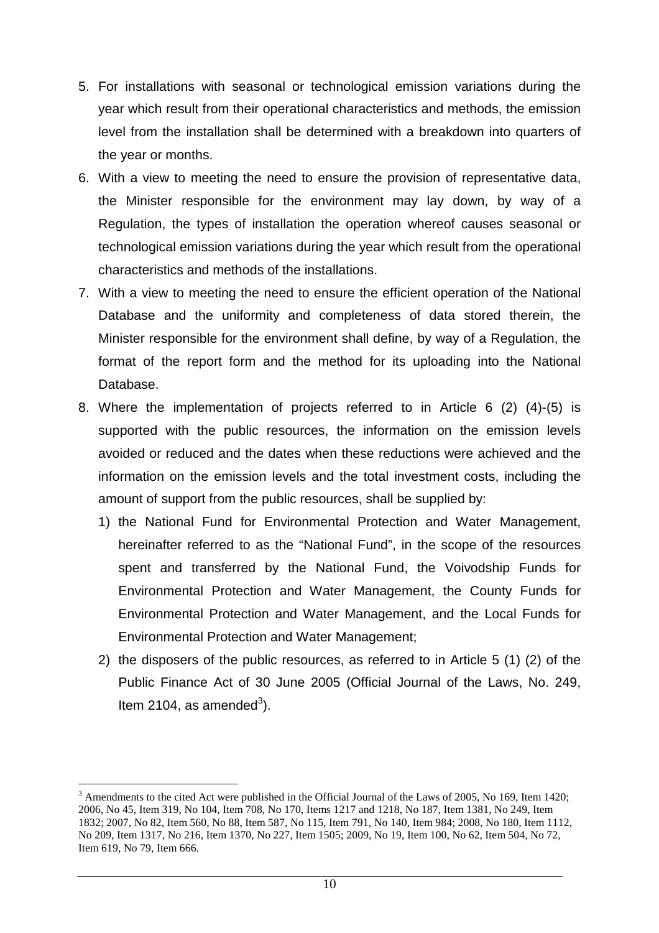- 5. For installations with seasonal or technological emission variations during the year which result from their operational characteristics and methods, the emission level from the installation shall be determined with a breakdown into quarters of the year or months.
- 6. With a view to meeting the need to ensure the provision of representative data, the Minister responsible for the environment may lay down, by way of a Regulation, the types of installation the operation whereof causes seasonal or technological emission variations during the year which result from the operational characteristics and methods of the installations.
- 7. With a view to meeting the need to ensure the efficient operation of the National Database and the uniformity and completeness of data stored therein, the Minister responsible for the environment shall define, by way of a Regulation, the format of the report form and the method for its uploading into the National Database.
- 8. Where the implementation of projects referred to in Article 6 (2) (4)-(5) is supported with the public resources, the information on the emission levels avoided or reduced and the dates when these reductions were achieved and the information on the emission levels and the total investment costs, including the amount of support from the public resources, shall be supplied by:
	- 1) the National Fund for Environmental Protection and Water Management, hereinafter referred to as the "National Fund", in the scope of the resources spent and transferred by the National Fund, the Voivodship Funds for Environmental Protection and Water Management, the County Funds for Environmental Protection and Water Management, and the Local Funds for Environmental Protection and Water Management;
	- 2) the disposers of the public resources, as referred to in Article 5 (1) (2) of the Public Finance Act of 30 June 2005 (Official Journal of the Laws, No. 249, Item 2104, as amended $3$ ).

 $\overline{a}$ <sup>3</sup> Amendments to the cited Act were published in the Official Journal of the Laws of 2005, No 169, Item 1420; 2006, No 45, Item 319, No 104, Item 708, No 170, Items 1217 and 1218, No 187, Item 1381, No 249, Item 1832; 2007, No 82, Item 560, No 88, Item 587, No 115, Item 791, No 140, Item 984; 2008, No 180, Item 1112, No 209, Item 1317, No 216, Item 1370, No 227, Item 1505; 2009, No 19, Item 100, No 62, Item 504, No 72, Item 619, No 79, Item 666.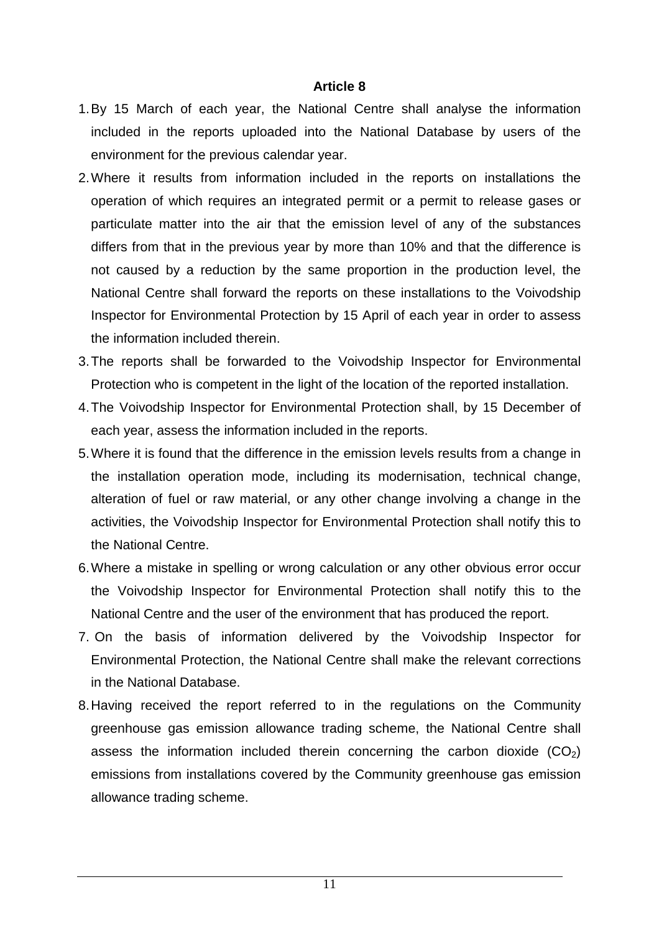- 1. By 15 March of each year, the National Centre shall analyse the information included in the reports uploaded into the National Database by users of the environment for the previous calendar year.
- 2. Where it results from information included in the reports on installations the operation of which requires an integrated permit or a permit to release gases or particulate matter into the air that the emission level of any of the substances differs from that in the previous year by more than 10% and that the difference is not caused by a reduction by the same proportion in the production level, the National Centre shall forward the reports on these installations to the Voivodship Inspector for Environmental Protection by 15 April of each year in order to assess the information included therein.
- 3. The reports shall be forwarded to the Voivodship Inspector for Environmental Protection who is competent in the light of the location of the reported installation.
- 4. The Voivodship Inspector for Environmental Protection shall, by 15 December of each year, assess the information included in the reports.
- 5. Where it is found that the difference in the emission levels results from a change in the installation operation mode, including its modernisation, technical change, alteration of fuel or raw material, or any other change involving a change in the activities, the Voivodship Inspector for Environmental Protection shall notify this to the National Centre.
- 6. Where a mistake in spelling or wrong calculation or any other obvious error occur the Voivodship Inspector for Environmental Protection shall notify this to the National Centre and the user of the environment that has produced the report.
- 7. On the basis of information delivered by the Voivodship Inspector for Environmental Protection, the National Centre shall make the relevant corrections in the National Database.
- 8. Having received the report referred to in the regulations on the Community greenhouse gas emission allowance trading scheme, the National Centre shall assess the information included therein concerning the carbon dioxide  $(CO<sub>2</sub>)$ emissions from installations covered by the Community greenhouse gas emission allowance trading scheme.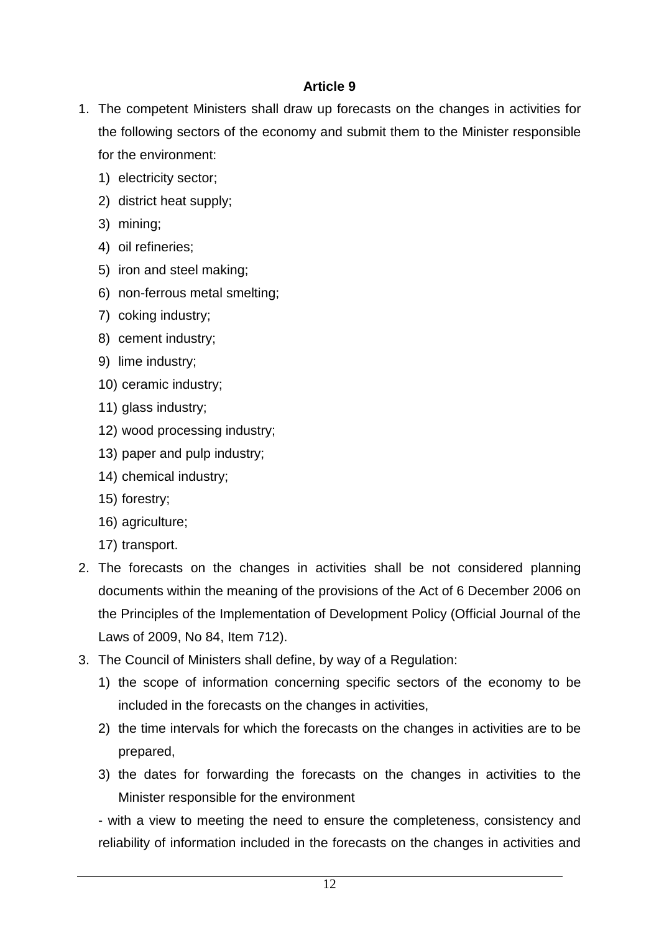- 1. The competent Ministers shall draw up forecasts on the changes in activities for the following sectors of the economy and submit them to the Minister responsible for the environment:
	- 1) electricity sector;
	- 2) district heat supply;
	- 3) mining;
	- 4) oil refineries;
	- 5) iron and steel making;
	- 6) non-ferrous metal smelting;
	- 7) coking industry;
	- 8) cement industry;
	- 9) lime industry;
	- 10) ceramic industry;
	- 11) glass industry;
	- 12) wood processing industry;
	- 13) paper and pulp industry;
	- 14) chemical industry;
	- 15) forestry;
	- 16) agriculture;
	- 17) transport.
- 2. The forecasts on the changes in activities shall be not considered planning documents within the meaning of the provisions of the Act of 6 December 2006 on the Principles of the Implementation of Development Policy (Official Journal of the Laws of 2009, No 84, Item 712).
- 3. The Council of Ministers shall define, by way of a Regulation:
	- 1) the scope of information concerning specific sectors of the economy to be included in the forecasts on the changes in activities,
	- 2) the time intervals for which the forecasts on the changes in activities are to be prepared,
	- 3) the dates for forwarding the forecasts on the changes in activities to the Minister responsible for the environment

- with a view to meeting the need to ensure the completeness, consistency and reliability of information included in the forecasts on the changes in activities and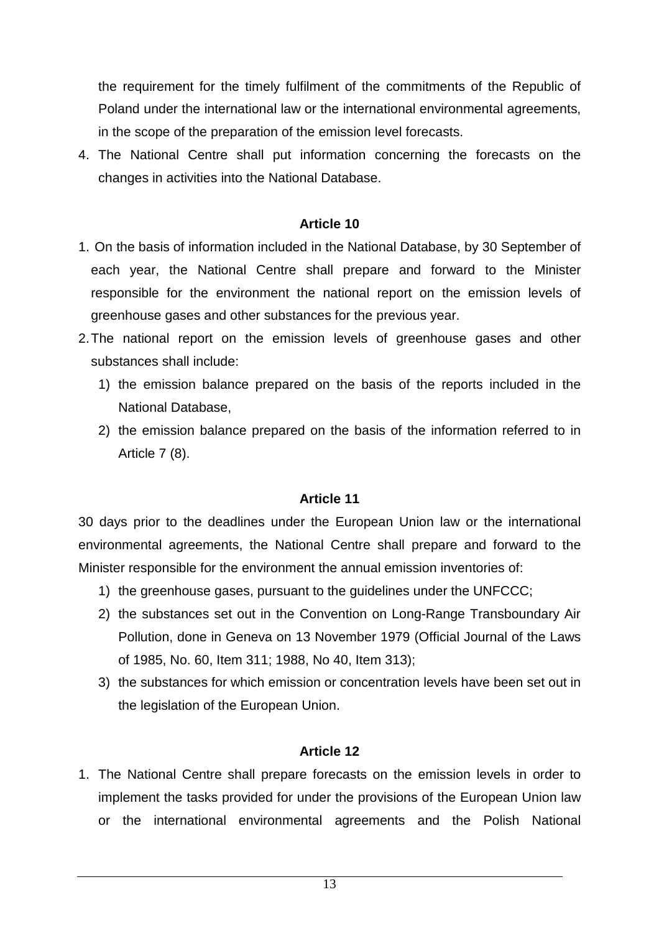the requirement for the timely fulfilment of the commitments of the Republic of Poland under the international law or the international environmental agreements, in the scope of the preparation of the emission level forecasts.

4. The National Centre shall put information concerning the forecasts on the changes in activities into the National Database.

#### **Article 10**

- 1. On the basis of information included in the National Database, by 30 September of each year, the National Centre shall prepare and forward to the Minister responsible for the environment the national report on the emission levels of greenhouse gases and other substances for the previous year.
- 2. The national report on the emission levels of greenhouse gases and other substances shall include:
	- 1) the emission balance prepared on the basis of the reports included in the National Database,
	- 2) the emission balance prepared on the basis of the information referred to in Article 7 (8).

#### **Article 11**

30 days prior to the deadlines under the European Union law or the international environmental agreements, the National Centre shall prepare and forward to the Minister responsible for the environment the annual emission inventories of:

- 1) the greenhouse gases, pursuant to the guidelines under the UNFCCC;
- 2) the substances set out in the Convention on Long-Range Transboundary Air Pollution, done in Geneva on 13 November 1979 (Official Journal of the Laws of 1985, No. 60, Item 311; 1988, No 40, Item 313);
- 3) the substances for which emission or concentration levels have been set out in the legislation of the European Union.

#### **Article 12**

1. The National Centre shall prepare forecasts on the emission levels in order to implement the tasks provided for under the provisions of the European Union law or the international environmental agreements and the Polish National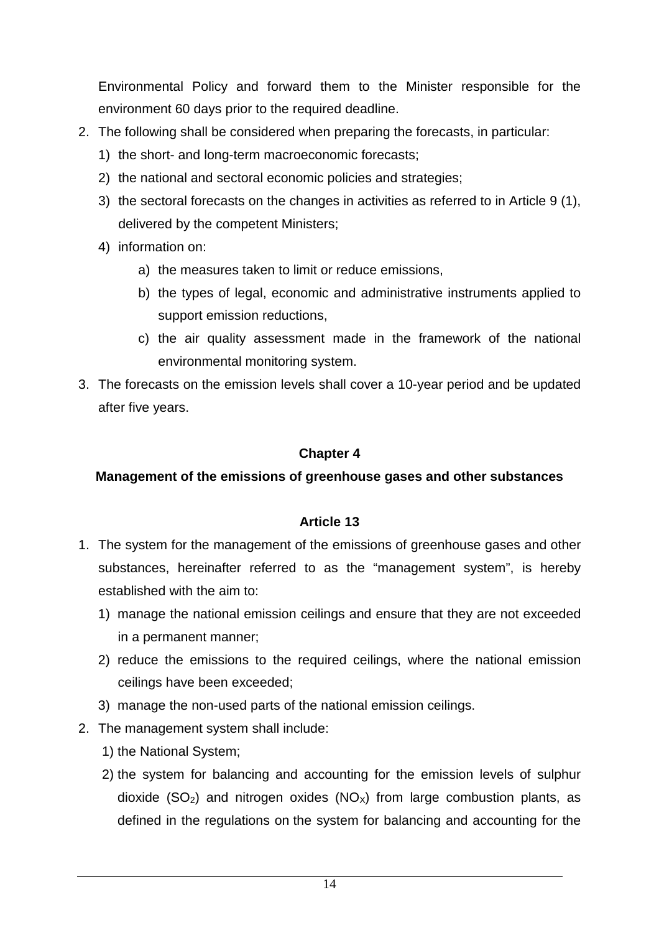Environmental Policy and forward them to the Minister responsible for the environment 60 days prior to the required deadline.

- 2. The following shall be considered when preparing the forecasts, in particular:
	- 1) the short- and long-term macroeconomic forecasts;
	- 2) the national and sectoral economic policies and strategies;
	- 3) the sectoral forecasts on the changes in activities as referred to in Article 9 (1), delivered by the competent Ministers;
	- 4) information on:
		- a) the measures taken to limit or reduce emissions,
		- b) the types of legal, economic and administrative instruments applied to support emission reductions,
		- c) the air quality assessment made in the framework of the national environmental monitoring system.
- 3. The forecasts on the emission levels shall cover a 10-year period and be updated after five years.

#### **Chapter 4**

### **Management of the emissions of greenhouse gases and other substances**

- 1. The system for the management of the emissions of greenhouse gases and other substances, hereinafter referred to as the "management system", is hereby established with the aim to:
	- 1) manage the national emission ceilings and ensure that they are not exceeded in a permanent manner;
	- 2) reduce the emissions to the required ceilings, where the national emission ceilings have been exceeded;
	- 3) manage the non-used parts of the national emission ceilings.
- 2. The management system shall include:
	- 1) the National System;
	- 2) the system for balancing and accounting for the emission levels of sulphur dioxide (SO<sub>2</sub>) and nitrogen oxides (NO<sub>X</sub>) from large combustion plants, as defined in the regulations on the system for balancing and accounting for the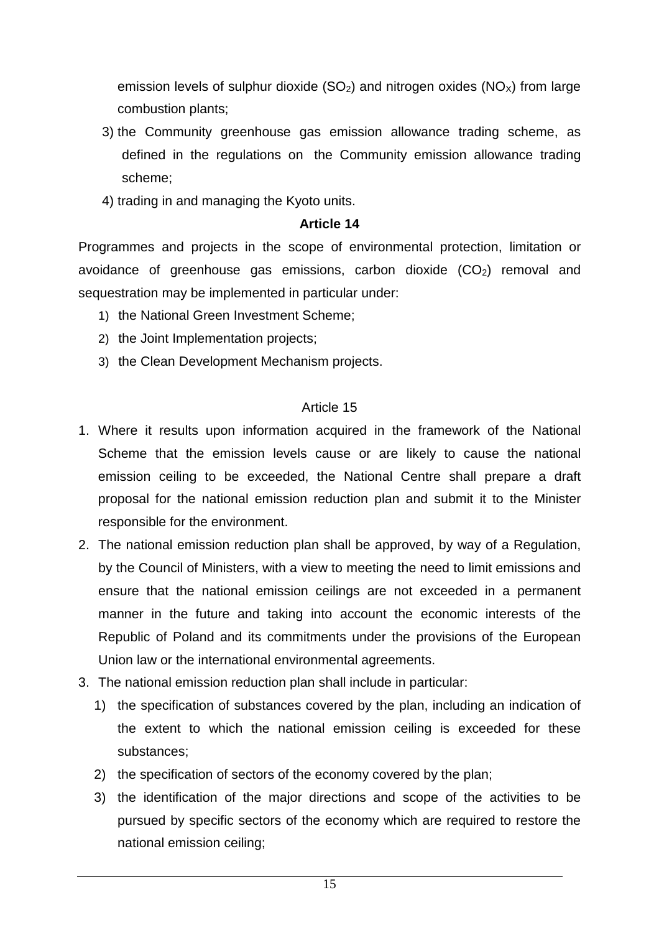emission levels of sulphur dioxide  $(SO<sub>2</sub>)$  and nitrogen oxides  $(NO<sub>X</sub>)$  from large combustion plants;

- 3) the Community greenhouse gas emission allowance trading scheme, as defined in the regulations on the Community emission allowance trading scheme;
- 4) trading in and managing the Kyoto units.

#### **Article 14**

Programmes and projects in the scope of environmental protection, limitation or avoidance of greenhouse gas emissions, carbon dioxide  $(CO<sub>2</sub>)$  removal and sequestration may be implemented in particular under:

- 1) the National Green Investment Scheme;
- 2) the Joint Implementation projects;
- 3) the Clean Development Mechanism projects.

- 1. Where it results upon information acquired in the framework of the National Scheme that the emission levels cause or are likely to cause the national emission ceiling to be exceeded, the National Centre shall prepare a draft proposal for the national emission reduction plan and submit it to the Minister responsible for the environment.
- 2. The national emission reduction plan shall be approved, by way of a Regulation, by the Council of Ministers, with a view to meeting the need to limit emissions and ensure that the national emission ceilings are not exceeded in a permanent manner in the future and taking into account the economic interests of the Republic of Poland and its commitments under the provisions of the European Union law or the international environmental agreements.
- 3. The national emission reduction plan shall include in particular:
	- 1) the specification of substances covered by the plan, including an indication of the extent to which the national emission ceiling is exceeded for these substances;
	- 2) the specification of sectors of the economy covered by the plan;
	- 3) the identification of the major directions and scope of the activities to be pursued by specific sectors of the economy which are required to restore the national emission ceiling;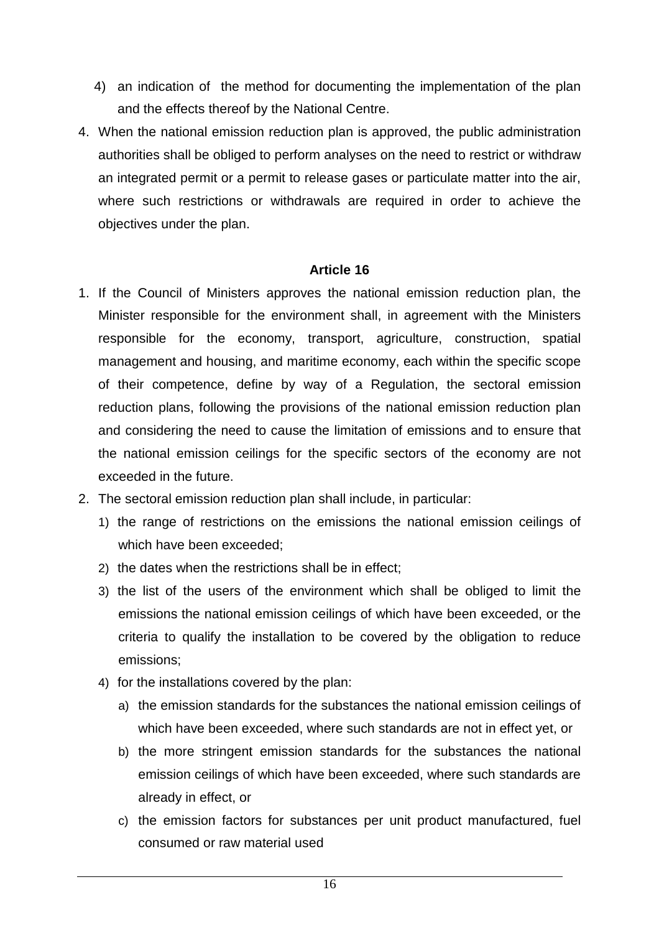- 4) an indication of the method for documenting the implementation of the plan and the effects thereof by the National Centre.
- 4. When the national emission reduction plan is approved, the public administration authorities shall be obliged to perform analyses on the need to restrict or withdraw an integrated permit or a permit to release gases or particulate matter into the air, where such restrictions or withdrawals are required in order to achieve the objectives under the plan.

- 1. If the Council of Ministers approves the national emission reduction plan, the Minister responsible for the environment shall, in agreement with the Ministers responsible for the economy, transport, agriculture, construction, spatial management and housing, and maritime economy, each within the specific scope of their competence, define by way of a Regulation, the sectoral emission reduction plans, following the provisions of the national emission reduction plan and considering the need to cause the limitation of emissions and to ensure that the national emission ceilings for the specific sectors of the economy are not exceeded in the future.
- 2. The sectoral emission reduction plan shall include, in particular:
	- 1) the range of restrictions on the emissions the national emission ceilings of which have been exceeded:
	- 2) the dates when the restrictions shall be in effect;
	- 3) the list of the users of the environment which shall be obliged to limit the emissions the national emission ceilings of which have been exceeded, or the criteria to qualify the installation to be covered by the obligation to reduce emissions;
	- 4) for the installations covered by the plan:
		- a) the emission standards for the substances the national emission ceilings of which have been exceeded, where such standards are not in effect yet, or
		- b) the more stringent emission standards for the substances the national emission ceilings of which have been exceeded, where such standards are already in effect, or
		- c) the emission factors for substances per unit product manufactured, fuel consumed or raw material used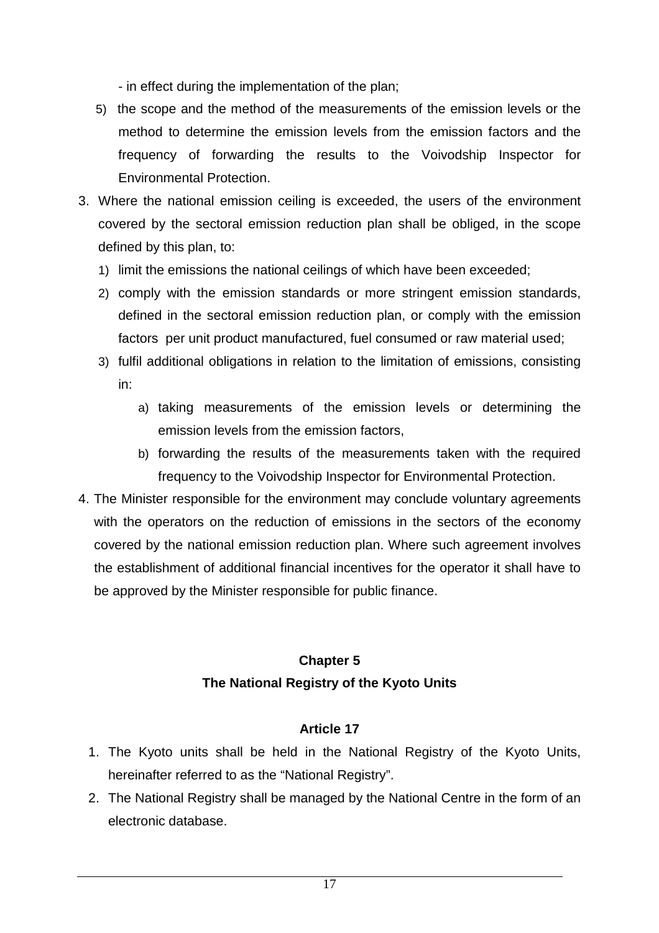- in effect during the implementation of the plan;

- 5) the scope and the method of the measurements of the emission levels or the method to determine the emission levels from the emission factors and the frequency of forwarding the results to the Voivodship Inspector for Environmental Protection.
- 3. Where the national emission ceiling is exceeded, the users of the environment covered by the sectoral emission reduction plan shall be obliged, in the scope defined by this plan, to:
	- 1) limit the emissions the national ceilings of which have been exceeded;
	- 2) comply with the emission standards or more stringent emission standards, defined in the sectoral emission reduction plan, or comply with the emission factors per unit product manufactured, fuel consumed or raw material used;
	- 3) fulfil additional obligations in relation to the limitation of emissions, consisting in:
		- a) taking measurements of the emission levels or determining the emission levels from the emission factors,
		- b) forwarding the results of the measurements taken with the required frequency to the Voivodship Inspector for Environmental Protection.
- 4. The Minister responsible for the environment may conclude voluntary agreements with the operators on the reduction of emissions in the sectors of the economy covered by the national emission reduction plan. Where such agreement involves the establishment of additional financial incentives for the operator it shall have to be approved by the Minister responsible for public finance.

# **Chapter 5 The National Registry of the Kyoto Units**

- 1. The Kyoto units shall be held in the National Registry of the Kyoto Units, hereinafter referred to as the "National Registry".
- 2. The National Registry shall be managed by the National Centre in the form of an electronic database.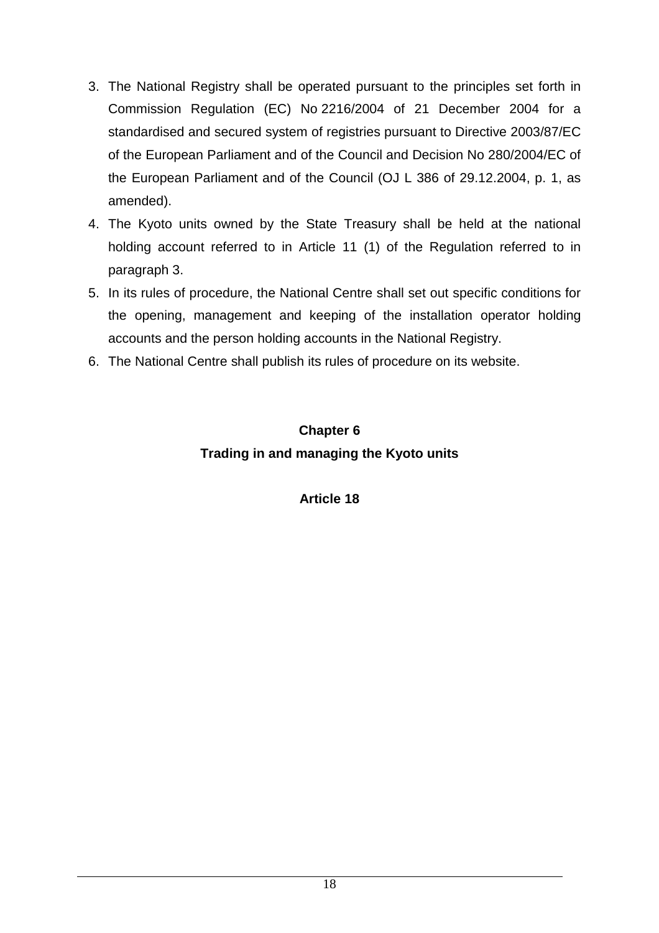- 3. The National Registry shall be operated pursuant to the principles set forth in Commission Regulation (EC) No 2216/2004 of 21 December 2004 for a standardised and secured system of registries pursuant to Directive 2003/87/EC of the European Parliament and of the Council and Decision No 280/2004/EC of the European Parliament and of the Council (OJ L 386 of 29.12.2004, p. 1, as amended).
- 4. The Kyoto units owned by the State Treasury shall be held at the national holding account referred to in Article 11 (1) of the Regulation referred to in paragraph 3.
- 5. In its rules of procedure, the National Centre shall set out specific conditions for the opening, management and keeping of the installation operator holding accounts and the person holding accounts in the National Registry.
- 6. The National Centre shall publish its rules of procedure on its website.

# **Chapter 6 Trading in and managing the Kyoto units**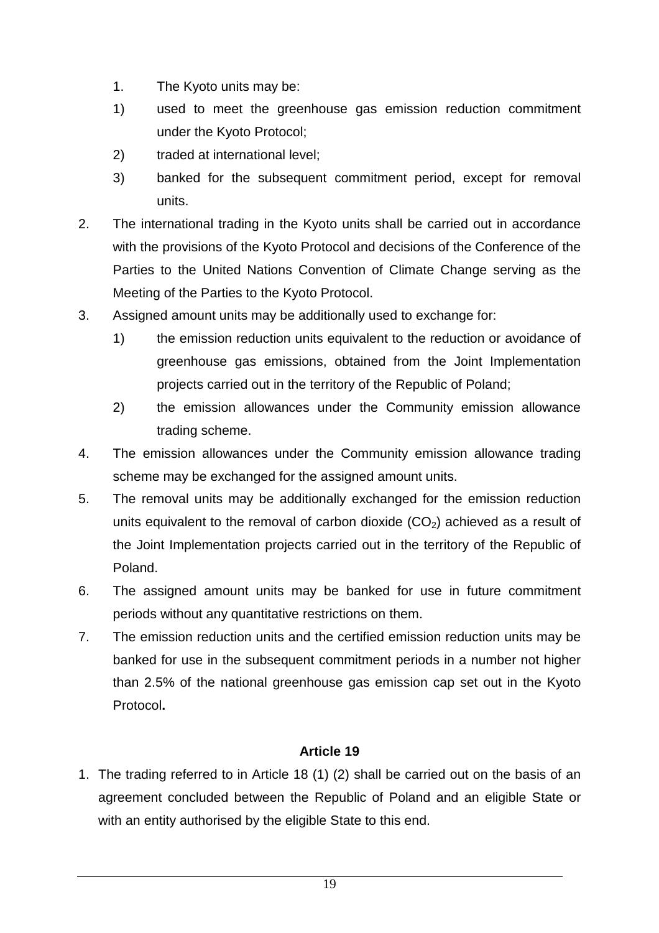- 1. The Kyoto units may be:
- 1) used to meet the greenhouse gas emission reduction commitment under the Kyoto Protocol;
- 2) traded at international level;
- 3) banked for the subsequent commitment period, except for removal units.
- 2. The international trading in the Kyoto units shall be carried out in accordance with the provisions of the Kyoto Protocol and decisions of the Conference of the Parties to the United Nations Convention of Climate Change serving as the Meeting of the Parties to the Kyoto Protocol.
- 3. Assigned amount units may be additionally used to exchange for:
	- 1) the emission reduction units equivalent to the reduction or avoidance of greenhouse gas emissions, obtained from the Joint Implementation projects carried out in the territory of the Republic of Poland;
	- 2) the emission allowances under the Community emission allowance trading scheme.
- 4. The emission allowances under the Community emission allowance trading scheme may be exchanged for the assigned amount units.
- 5. The removal units may be additionally exchanged for the emission reduction units equivalent to the removal of carbon dioxide  $(CO<sub>2</sub>)$  achieved as a result of the Joint Implementation projects carried out in the territory of the Republic of Poland.
- 6. The assigned amount units may be banked for use in future commitment periods without any quantitative restrictions on them.
- 7. The emission reduction units and the certified emission reduction units may be banked for use in the subsequent commitment periods in a number not higher than 2.5% of the national greenhouse gas emission cap set out in the Kyoto Protocol**.**

1. The trading referred to in Article 18 (1) (2) shall be carried out on the basis of an agreement concluded between the Republic of Poland and an eligible State or with an entity authorised by the eligible State to this end.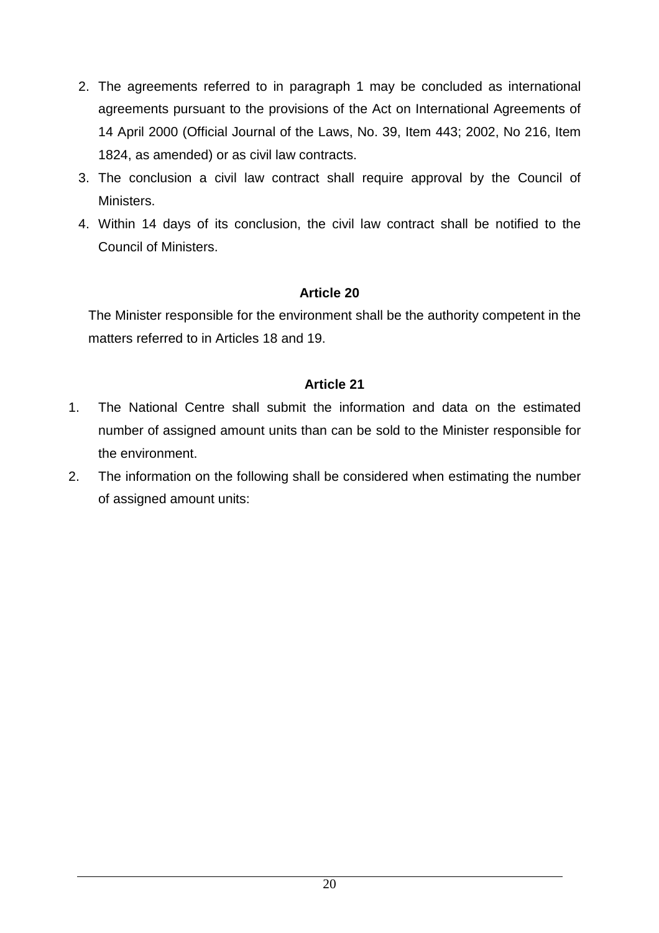- 2. The agreements referred to in paragraph 1 may be concluded as international agreements pursuant to the provisions of the Act on International Agreements of 14 April 2000 (Official Journal of the Laws, No. 39, Item 443; 2002, No 216, Item 1824, as amended) or as civil law contracts.
- 3. The conclusion a civil law contract shall require approval by the Council of Ministers.
- 4. Within 14 days of its conclusion, the civil law contract shall be notified to the Council of Ministers.

The Minister responsible for the environment shall be the authority competent in the matters referred to in Articles 18 and 19.

- 1. The National Centre shall submit the information and data on the estimated number of assigned amount units than can be sold to the Minister responsible for the environment.
- 2. The information on the following shall be considered when estimating the number of assigned amount units: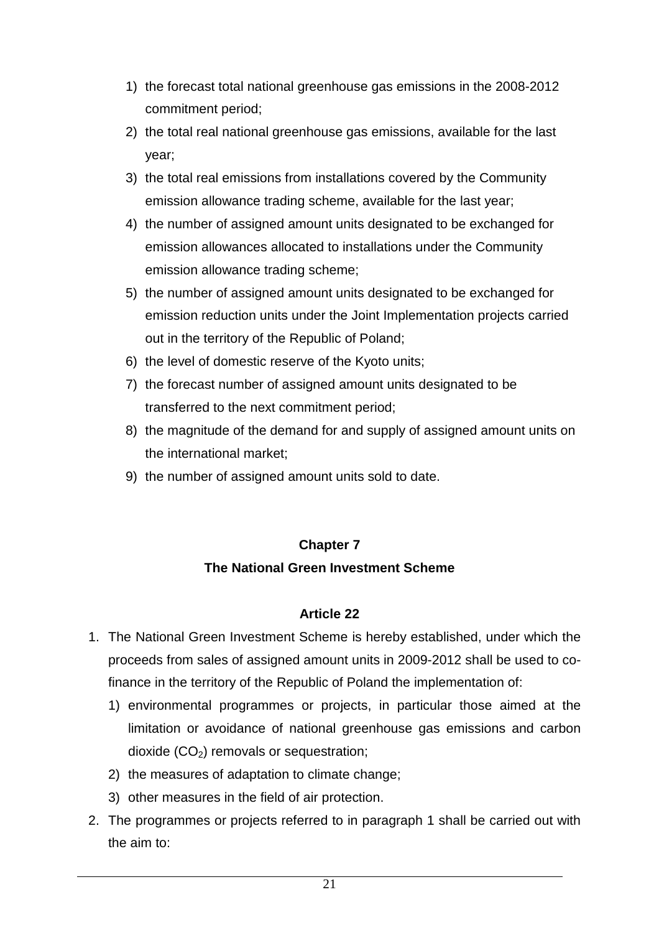- 1) the forecast total national greenhouse gas emissions in the 2008-2012 commitment period;
- 2) the total real national greenhouse gas emissions, available for the last year;
- 3) the total real emissions from installations covered by the Community emission allowance trading scheme, available for the last year;
- 4) the number of assigned amount units designated to be exchanged for emission allowances allocated to installations under the Community emission allowance trading scheme;
- 5) the number of assigned amount units designated to be exchanged for emission reduction units under the Joint Implementation projects carried out in the territory of the Republic of Poland;
- 6) the level of domestic reserve of the Kyoto units;
- 7) the forecast number of assigned amount units designated to be transferred to the next commitment period;
- 8) the magnitude of the demand for and supply of assigned amount units on the international market;
- 9) the number of assigned amount units sold to date.

#### **Chapter 7**

### **The National Green Investment Scheme**

- 1. The National Green Investment Scheme is hereby established, under which the proceeds from sales of assigned amount units in 2009-2012 shall be used to cofinance in the territory of the Republic of Poland the implementation of:
	- 1) environmental programmes or projects, in particular those aimed at the limitation or avoidance of national greenhouse gas emissions and carbon dioxide  $(CO<sub>2</sub>)$  removals or sequestration;
	- 2) the measures of adaptation to climate change;
	- 3) other measures in the field of air protection.
- 2. The programmes or projects referred to in paragraph 1 shall be carried out with the aim to: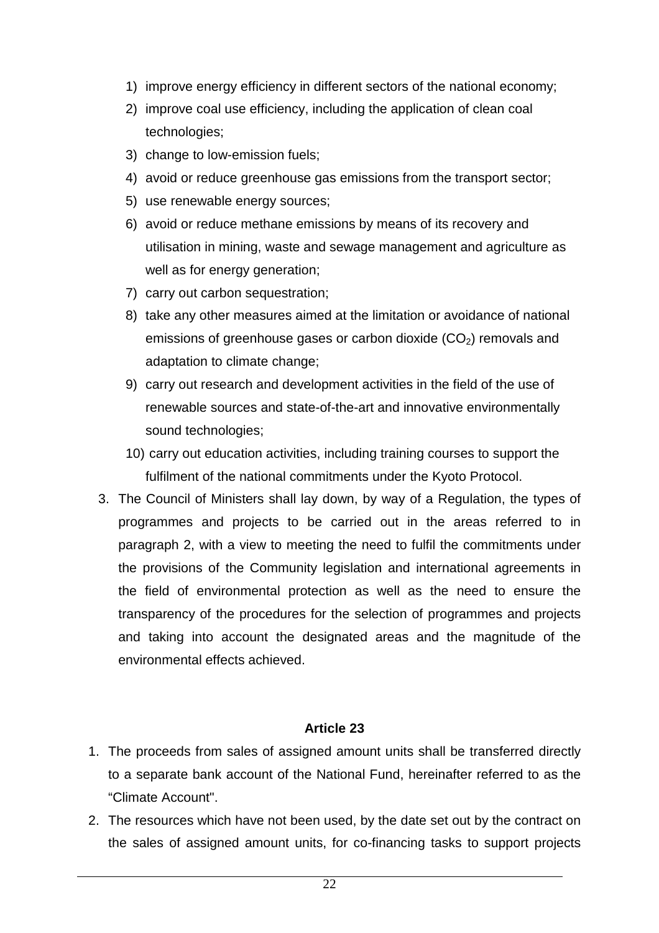- 1) improve energy efficiency in different sectors of the national economy;
- 2) improve coal use efficiency, including the application of clean coal technologies;
- 3) change to low-emission fuels;
- 4) avoid or reduce greenhouse gas emissions from the transport sector;
- 5) use renewable energy sources;
- 6) avoid or reduce methane emissions by means of its recovery and utilisation in mining, waste and sewage management and agriculture as well as for energy generation;
- 7) carry out carbon sequestration;
- 8) take any other measures aimed at the limitation or avoidance of national emissions of greenhouse gases or carbon dioxide  $(CO<sub>2</sub>)$  removals and adaptation to climate change;
- 9) carry out research and development activities in the field of the use of renewable sources and state-of-the-art and innovative environmentally sound technologies;
- 10) carry out education activities, including training courses to support the fulfilment of the national commitments under the Kyoto Protocol.
- 3. The Council of Ministers shall lay down, by way of a Regulation, the types of programmes and projects to be carried out in the areas referred to in paragraph 2, with a view to meeting the need to fulfil the commitments under the provisions of the Community legislation and international agreements in the field of environmental protection as well as the need to ensure the transparency of the procedures for the selection of programmes and projects and taking into account the designated areas and the magnitude of the environmental effects achieved.

- 1. The proceeds from sales of assigned amount units shall be transferred directly to a separate bank account of the National Fund, hereinafter referred to as the "Climate Account".
- 2. The resources which have not been used, by the date set out by the contract on the sales of assigned amount units, for co-financing tasks to support projects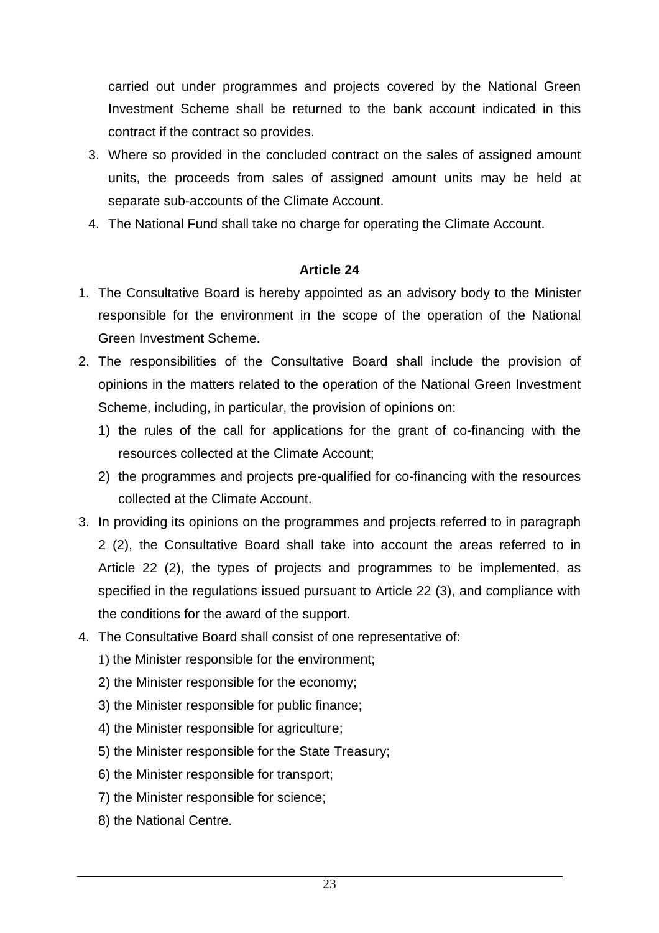carried out under programmes and projects covered by the National Green Investment Scheme shall be returned to the bank account indicated in this contract if the contract so provides.

- 3. Where so provided in the concluded contract on the sales of assigned amount units, the proceeds from sales of assigned amount units may be held at separate sub-accounts of the Climate Account.
- 4. The National Fund shall take no charge for operating the Climate Account.

- 1. The Consultative Board is hereby appointed as an advisory body to the Minister responsible for the environment in the scope of the operation of the National Green Investment Scheme.
- 2. The responsibilities of the Consultative Board shall include the provision of opinions in the matters related to the operation of the National Green Investment Scheme, including, in particular, the provision of opinions on:
	- 1) the rules of the call for applications for the grant of co-financing with the resources collected at the Climate Account;
	- 2) the programmes and projects pre-qualified for co-financing with the resources collected at the Climate Account.
- 3. In providing its opinions on the programmes and projects referred to in paragraph 2 (2), the Consultative Board shall take into account the areas referred to in Article 22 (2), the types of projects and programmes to be implemented, as specified in the regulations issued pursuant to Article 22 (3), and compliance with the conditions for the award of the support.
- 4. The Consultative Board shall consist of one representative of:
	- 1) the Minister responsible for the environment;
	- 2) the Minister responsible for the economy;
	- 3) the Minister responsible for public finance;
	- 4) the Minister responsible for agriculture;
	- 5) the Minister responsible for the State Treasury;
	- 6) the Minister responsible for transport;
	- 7) the Minister responsible for science;
	- 8) the National Centre.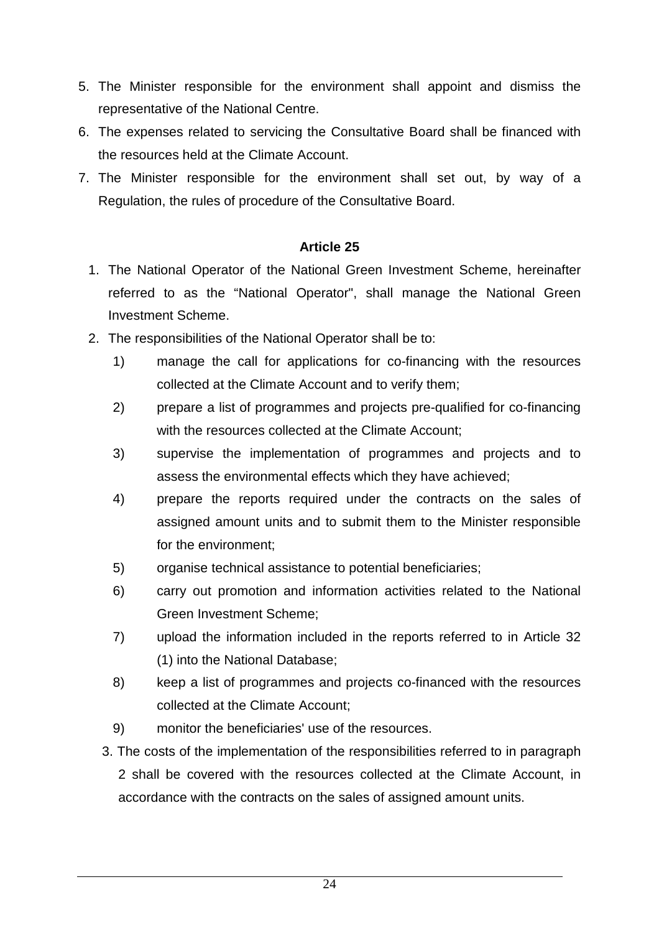- 5. The Minister responsible for the environment shall appoint and dismiss the representative of the National Centre.
- 6. The expenses related to servicing the Consultative Board shall be financed with the resources held at the Climate Account.
- 7. The Minister responsible for the environment shall set out, by way of a Regulation, the rules of procedure of the Consultative Board.

- 1. The National Operator of the National Green Investment Scheme, hereinafter referred to as the "National Operator", shall manage the National Green Investment Scheme.
- 2. The responsibilities of the National Operator shall be to:
	- 1) manage the call for applications for co-financing with the resources collected at the Climate Account and to verify them;
	- 2) prepare a list of programmes and projects pre-qualified for co-financing with the resources collected at the Climate Account;
	- 3) supervise the implementation of programmes and projects and to assess the environmental effects which they have achieved;
	- 4) prepare the reports required under the contracts on the sales of assigned amount units and to submit them to the Minister responsible for the environment;
	- 5) organise technical assistance to potential beneficiaries;
	- 6) carry out promotion and information activities related to the National Green Investment Scheme;
	- 7) upload the information included in the reports referred to in Article 32 (1) into the National Database;
	- 8) keep a list of programmes and projects co-financed with the resources collected at the Climate Account;
	- 9) monitor the beneficiaries' use of the resources.
	- 3. The costs of the implementation of the responsibilities referred to in paragraph 2 shall be covered with the resources collected at the Climate Account, in accordance with the contracts on the sales of assigned amount units.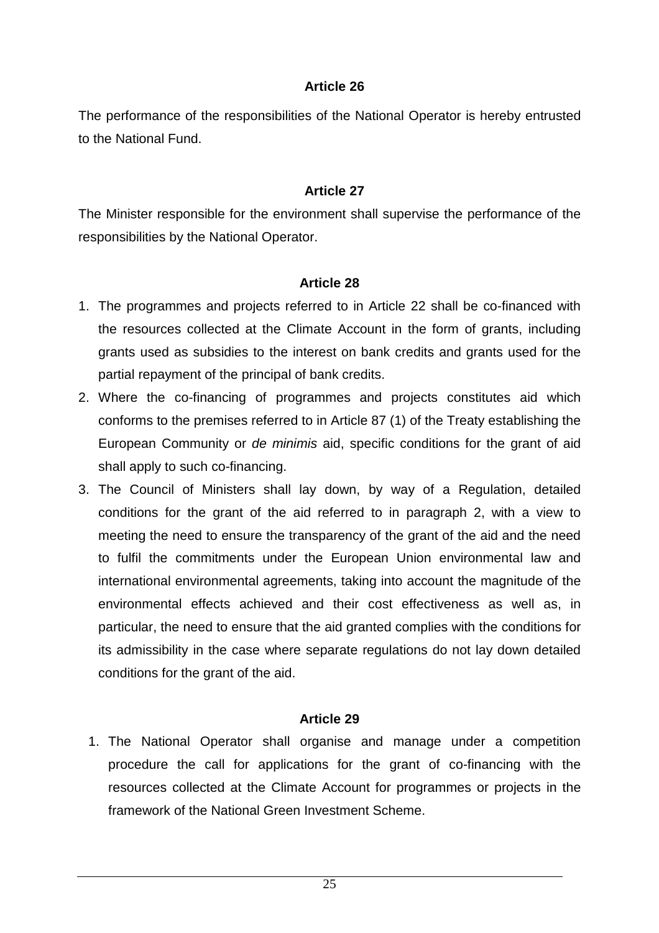The performance of the responsibilities of the National Operator is hereby entrusted to the National Fund.

#### **Article 27**

The Minister responsible for the environment shall supervise the performance of the responsibilities by the National Operator.

#### **Article 28**

- 1. The programmes and projects referred to in Article 22 shall be co-financed with the resources collected at the Climate Account in the form of grants, including grants used as subsidies to the interest on bank credits and grants used for the partial repayment of the principal of bank credits.
- 2. Where the co-financing of programmes and projects constitutes aid which conforms to the premises referred to in Article 87 (1) of the Treaty establishing the European Community or de minimis aid, specific conditions for the grant of aid shall apply to such co-financing.
- 3. The Council of Ministers shall lay down, by way of a Regulation, detailed conditions for the grant of the aid referred to in paragraph 2, with a view to meeting the need to ensure the transparency of the grant of the aid and the need to fulfil the commitments under the European Union environmental law and international environmental agreements, taking into account the magnitude of the environmental effects achieved and their cost effectiveness as well as, in particular, the need to ensure that the aid granted complies with the conditions for its admissibility in the case where separate regulations do not lay down detailed conditions for the grant of the aid.

#### **Article 29**

1. The National Operator shall organise and manage under a competition procedure the call for applications for the grant of co-financing with the resources collected at the Climate Account for programmes or projects in the framework of the National Green Investment Scheme.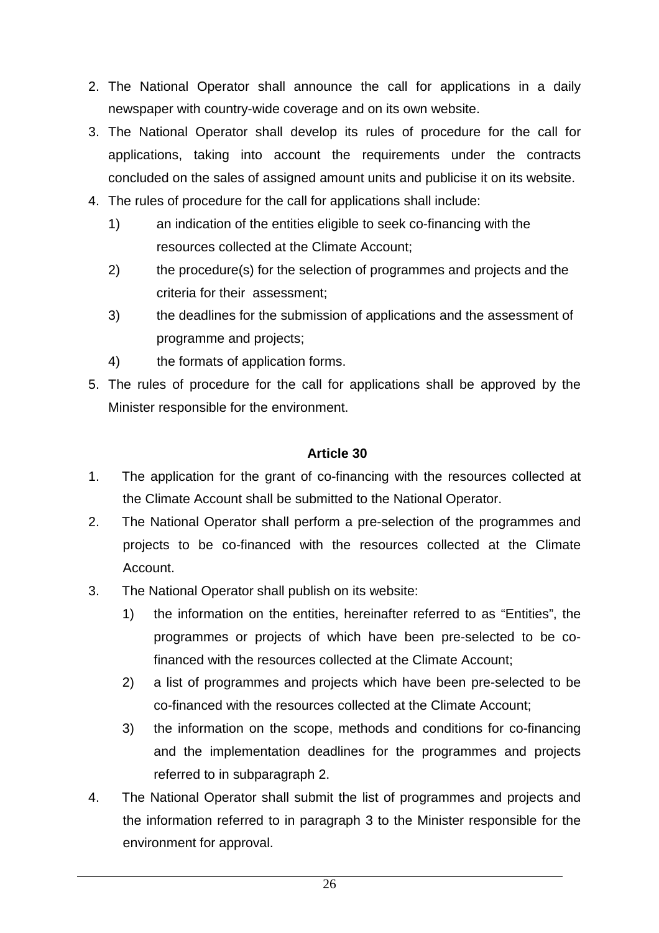- 2. The National Operator shall announce the call for applications in a daily newspaper with country-wide coverage and on its own website.
- 3. The National Operator shall develop its rules of procedure for the call for applications, taking into account the requirements under the contracts concluded on the sales of assigned amount units and publicise it on its website.
- 4. The rules of procedure for the call for applications shall include:
	- 1) an indication of the entities eligible to seek co-financing with the resources collected at the Climate Account;
	- 2) the procedure(s) for the selection of programmes and projects and the criteria for their assessment;
	- 3) the deadlines for the submission of applications and the assessment of programme and projects;
	- 4) the formats of application forms.
- 5. The rules of procedure for the call for applications shall be approved by the Minister responsible for the environment.

- 1. The application for the grant of co-financing with the resources collected at the Climate Account shall be submitted to the National Operator.
- 2. The National Operator shall perform a pre-selection of the programmes and projects to be co-financed with the resources collected at the Climate Account.
- 3. The National Operator shall publish on its website:
	- 1) the information on the entities, hereinafter referred to as "Entities", the programmes or projects of which have been pre-selected to be cofinanced with the resources collected at the Climate Account;
	- 2) a list of programmes and projects which have been pre-selected to be co-financed with the resources collected at the Climate Account;
	- 3) the information on the scope, methods and conditions for co-financing and the implementation deadlines for the programmes and projects referred to in subparagraph 2.
- 4. The National Operator shall submit the list of programmes and projects and the information referred to in paragraph 3 to the Minister responsible for the environment for approval.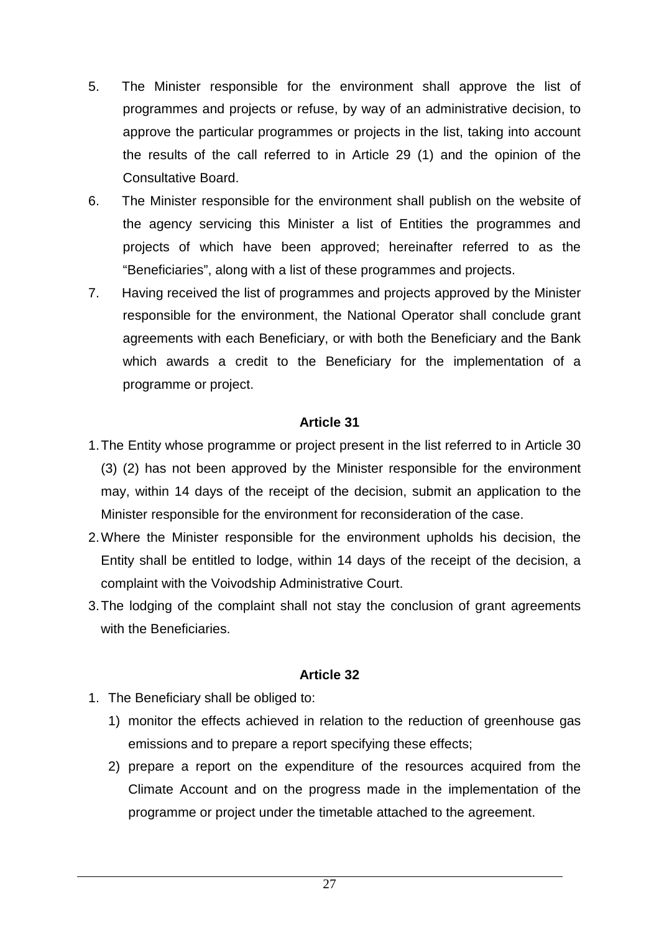- 5. The Minister responsible for the environment shall approve the list of programmes and projects or refuse, by way of an administrative decision, to approve the particular programmes or projects in the list, taking into account the results of the call referred to in Article 29 (1) and the opinion of the Consultative Board.
- 6. The Minister responsible for the environment shall publish on the website of the agency servicing this Minister a list of Entities the programmes and projects of which have been approved; hereinafter referred to as the "Beneficiaries", along with a list of these programmes and projects.
- 7. Having received the list of programmes and projects approved by the Minister responsible for the environment, the National Operator shall conclude grant agreements with each Beneficiary, or with both the Beneficiary and the Bank which awards a credit to the Beneficiary for the implementation of a programme or project.

- 1. The Entity whose programme or project present in the list referred to in Article 30 (3) (2) has not been approved by the Minister responsible for the environment may, within 14 days of the receipt of the decision, submit an application to the Minister responsible for the environment for reconsideration of the case.
- 2. Where the Minister responsible for the environment upholds his decision, the Entity shall be entitled to lodge, within 14 days of the receipt of the decision, a complaint with the Voivodship Administrative Court.
- 3. The lodging of the complaint shall not stay the conclusion of grant agreements with the Beneficiaries.

- 1. The Beneficiary shall be obliged to:
	- 1) monitor the effects achieved in relation to the reduction of greenhouse gas emissions and to prepare a report specifying these effects;
	- 2) prepare a report on the expenditure of the resources acquired from the Climate Account and on the progress made in the implementation of the programme or project under the timetable attached to the agreement.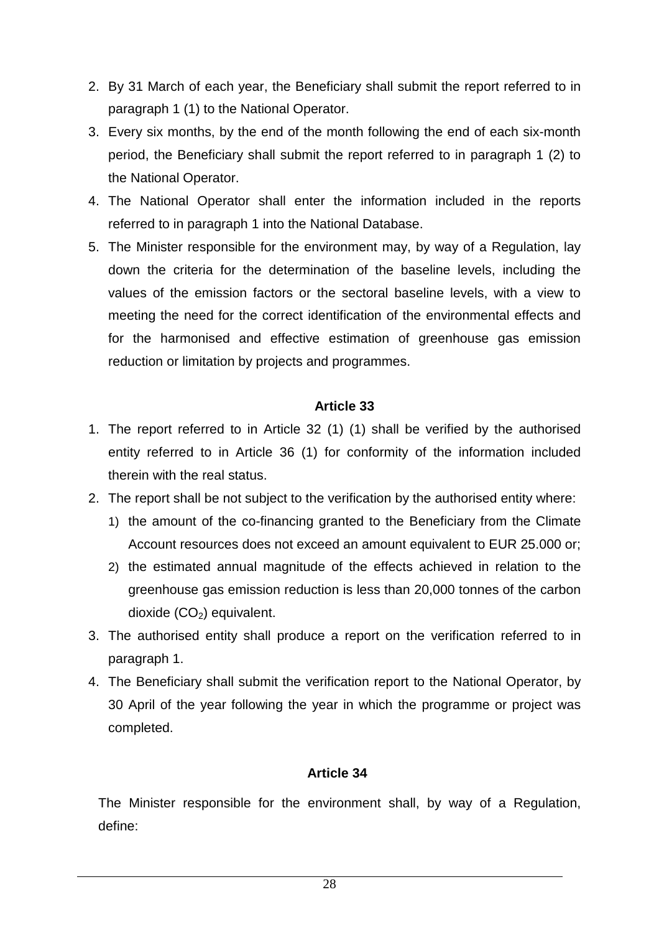- 2. By 31 March of each year, the Beneficiary shall submit the report referred to in paragraph 1 (1) to the National Operator.
- 3. Every six months, by the end of the month following the end of each six-month period, the Beneficiary shall submit the report referred to in paragraph 1 (2) to the National Operator.
- 4. The National Operator shall enter the information included in the reports referred to in paragraph 1 into the National Database.
- 5. The Minister responsible for the environment may, by way of a Regulation, lay down the criteria for the determination of the baseline levels, including the values of the emission factors or the sectoral baseline levels, with a view to meeting the need for the correct identification of the environmental effects and for the harmonised and effective estimation of greenhouse gas emission reduction or limitation by projects and programmes.

- 1. The report referred to in Article 32 (1) (1) shall be verified by the authorised entity referred to in Article 36 (1) for conformity of the information included therein with the real status.
- 2. The report shall be not subject to the verification by the authorised entity where:
	- 1) the amount of the co-financing granted to the Beneficiary from the Climate Account resources does not exceed an amount equivalent to EUR 25.000 or;
	- 2) the estimated annual magnitude of the effects achieved in relation to the greenhouse gas emission reduction is less than 20,000 tonnes of the carbon dioxide  $(CO<sub>2</sub>)$  equivalent.
- 3. The authorised entity shall produce a report on the verification referred to in paragraph 1.
- 4. The Beneficiary shall submit the verification report to the National Operator, by 30 April of the year following the year in which the programme or project was completed.

#### **Article 34**

The Minister responsible for the environment shall, by way of a Regulation, define: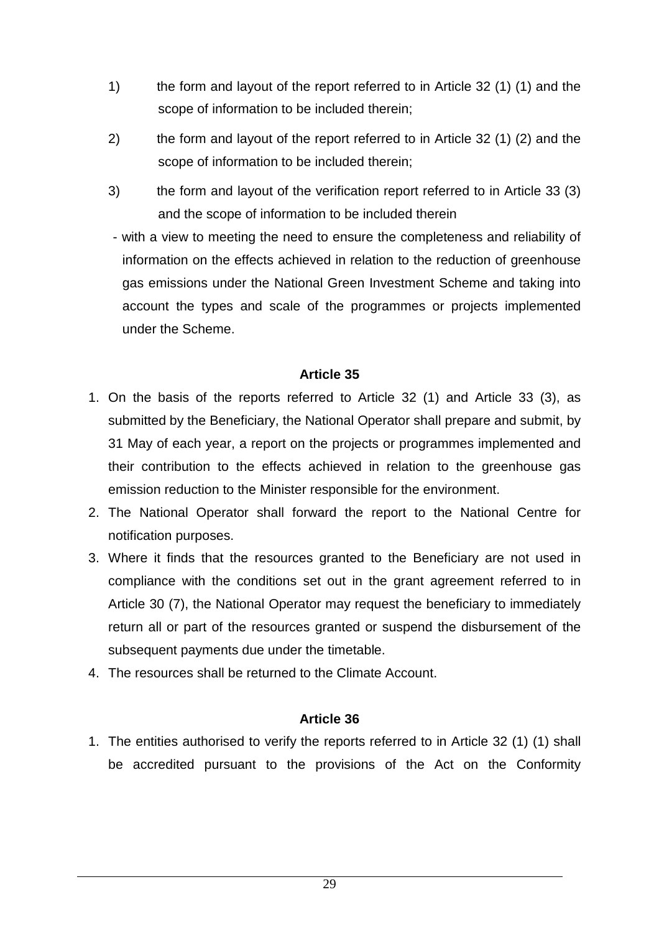- 1) the form and layout of the report referred to in Article 32 (1) (1) and the scope of information to be included therein;
- 2) the form and layout of the report referred to in Article 32 (1) (2) and the scope of information to be included therein;
- 3) the form and layout of the verification report referred to in Article 33 (3) and the scope of information to be included therein
- with a view to meeting the need to ensure the completeness and reliability of information on the effects achieved in relation to the reduction of greenhouse gas emissions under the National Green Investment Scheme and taking into account the types and scale of the programmes or projects implemented under the Scheme.

- 1. On the basis of the reports referred to Article 32 (1) and Article 33 (3), as submitted by the Beneficiary, the National Operator shall prepare and submit, by 31 May of each year, a report on the projects or programmes implemented and their contribution to the effects achieved in relation to the greenhouse gas emission reduction to the Minister responsible for the environment.
- 2. The National Operator shall forward the report to the National Centre for notification purposes.
- 3. Where it finds that the resources granted to the Beneficiary are not used in compliance with the conditions set out in the grant agreement referred to in Article 30 (7), the National Operator may request the beneficiary to immediately return all or part of the resources granted or suspend the disbursement of the subsequent payments due under the timetable.
- 4. The resources shall be returned to the Climate Account.

#### **Article 36**

1. The entities authorised to verify the reports referred to in Article 32 (1) (1) shall be accredited pursuant to the provisions of the Act on the Conformity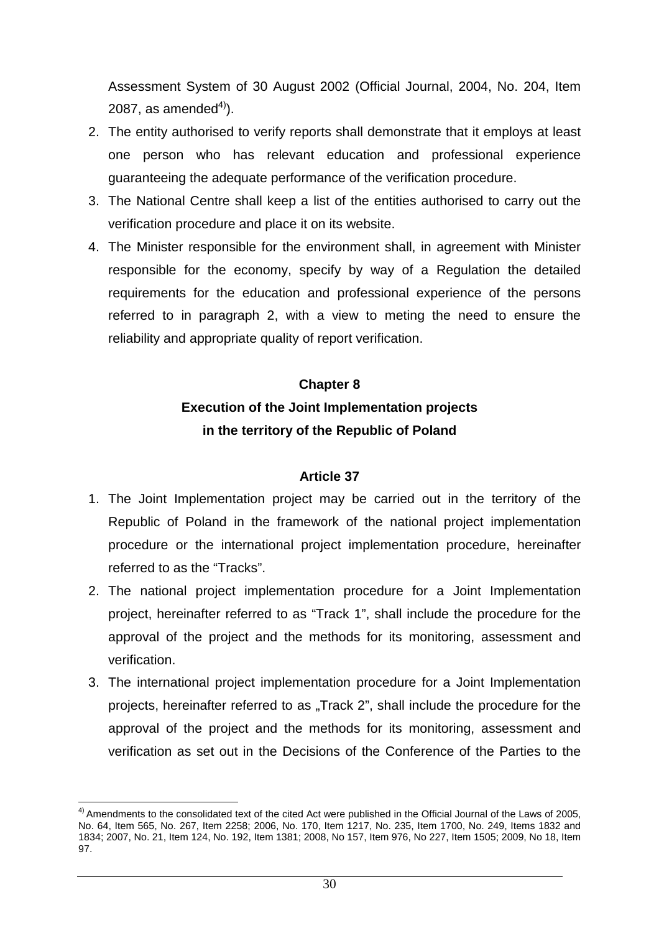Assessment System of 30 August 2002 (Official Journal, 2004, No. 204, Item 2087, as amended $^{4)}$ ).

- 2. The entity authorised to verify reports shall demonstrate that it employs at least one person who has relevant education and professional experience guaranteeing the adequate performance of the verification procedure.
- 3. The National Centre shall keep a list of the entities authorised to carry out the verification procedure and place it on its website.
- 4. The Minister responsible for the environment shall, in agreement with Minister responsible for the economy, specify by way of a Regulation the detailed requirements for the education and professional experience of the persons referred to in paragraph 2, with a view to meting the need to ensure the reliability and appropriate quality of report verification.

# **Chapter 8 Execution of the Joint Implementation projects in the territory of the Republic of Poland**

- 1. The Joint Implementation project may be carried out in the territory of the Republic of Poland in the framework of the national project implementation procedure or the international project implementation procedure, hereinafter referred to as the "Tracks".
- 2. The national project implementation procedure for a Joint Implementation project, hereinafter referred to as "Track 1", shall include the procedure for the approval of the project and the methods for its monitoring, assessment and verification.
- 3. The international project implementation procedure for a Joint Implementation projects, hereinafter referred to as "Track 2", shall include the procedure for the approval of the project and the methods for its monitoring, assessment and verification as set out in the Decisions of the Conference of the Parties to the

 $\overline{\phantom{a}}$  $4)$  Amendments to the consolidated text of the cited Act were published in the Official Journal of the Laws of 2005, No. 64, Item 565, No. 267, Item 2258; 2006, No. 170, Item 1217, No. 235, Item 1700, No. 249, Items 1832 and 1834; 2007, No. 21, Item 124, No. 192, Item 1381; 2008, No 157, Item 976, No 227, Item 1505; 2009, No 18, Item 97.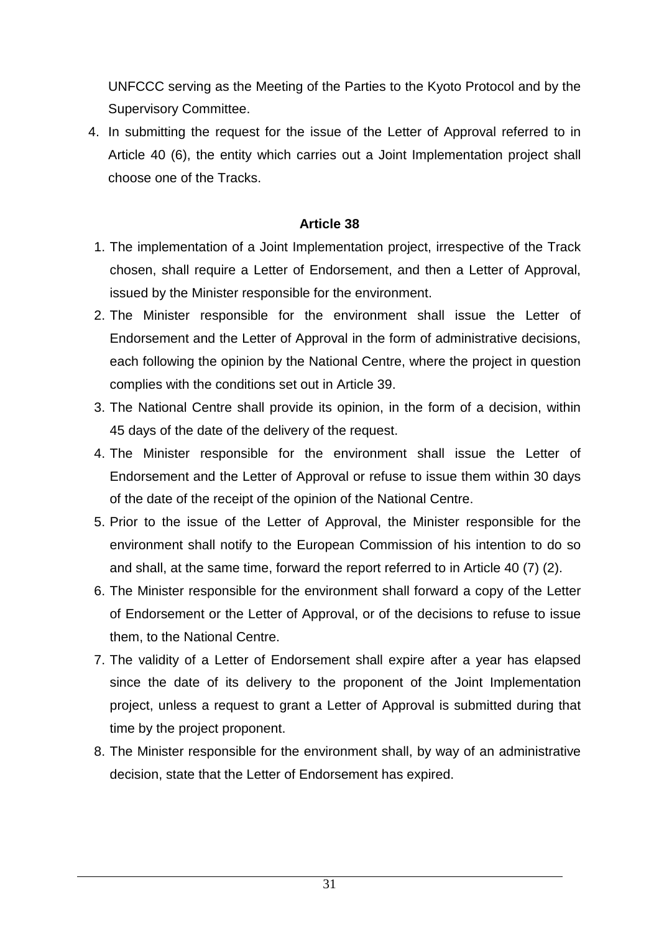UNFCCC serving as the Meeting of the Parties to the Kyoto Protocol and by the Supervisory Committee.

4. In submitting the request for the issue of the Letter of Approval referred to in Article 40 (6), the entity which carries out a Joint Implementation project shall choose one of the Tracks.

- 1. The implementation of a Joint Implementation project, irrespective of the Track chosen, shall require a Letter of Endorsement, and then a Letter of Approval, issued by the Minister responsible for the environment.
- 2. The Minister responsible for the environment shall issue the Letter of Endorsement and the Letter of Approval in the form of administrative decisions, each following the opinion by the National Centre, where the project in question complies with the conditions set out in Article 39.
- 3. The National Centre shall provide its opinion, in the form of a decision, within 45 days of the date of the delivery of the request.
- 4. The Minister responsible for the environment shall issue the Letter of Endorsement and the Letter of Approval or refuse to issue them within 30 days of the date of the receipt of the opinion of the National Centre.
- 5. Prior to the issue of the Letter of Approval, the Minister responsible for the environment shall notify to the European Commission of his intention to do so and shall, at the same time, forward the report referred to in Article 40 (7) (2).
- 6. The Minister responsible for the environment shall forward a copy of the Letter of Endorsement or the Letter of Approval, or of the decisions to refuse to issue them, to the National Centre.
- 7. The validity of a Letter of Endorsement shall expire after a year has elapsed since the date of its delivery to the proponent of the Joint Implementation project, unless a request to grant a Letter of Approval is submitted during that time by the project proponent.
- 8. The Minister responsible for the environment shall, by way of an administrative decision, state that the Letter of Endorsement has expired.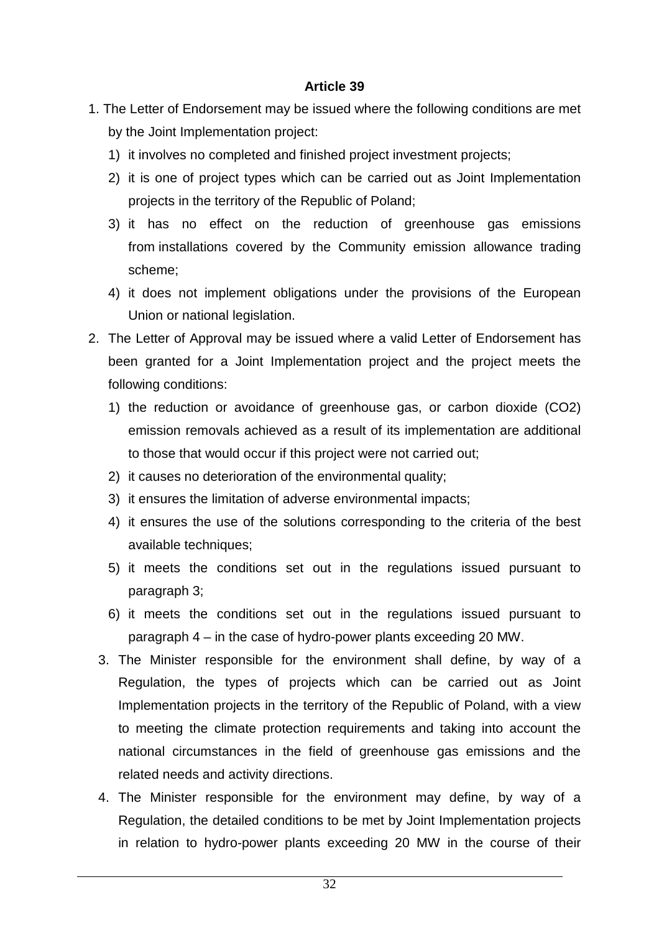- 1. The Letter of Endorsement may be issued where the following conditions are met by the Joint Implementation project:
	- 1) it involves no completed and finished project investment projects;
	- 2) it is one of project types which can be carried out as Joint Implementation projects in the territory of the Republic of Poland;
	- 3) it has no effect on the reduction of greenhouse gas emissions from installations covered by the Community emission allowance trading scheme;
	- 4) it does not implement obligations under the provisions of the European Union or national legislation.
- 2. The Letter of Approval may be issued where a valid Letter of Endorsement has been granted for a Joint Implementation project and the project meets the following conditions:
	- 1) the reduction or avoidance of greenhouse gas, or carbon dioxide (CO2) emission removals achieved as a result of its implementation are additional to those that would occur if this project were not carried out;
	- 2) it causes no deterioration of the environmental quality;
	- 3) it ensures the limitation of adverse environmental impacts;
	- 4) it ensures the use of the solutions corresponding to the criteria of the best available techniques;
	- 5) it meets the conditions set out in the regulations issued pursuant to paragraph 3;
	- 6) it meets the conditions set out in the regulations issued pursuant to paragraph 4 – in the case of hydro-power plants exceeding 20 MW.
	- 3. The Minister responsible for the environment shall define, by way of a Regulation, the types of projects which can be carried out as Joint Implementation projects in the territory of the Republic of Poland, with a view to meeting the climate protection requirements and taking into account the national circumstances in the field of greenhouse gas emissions and the related needs and activity directions.
	- 4. The Minister responsible for the environment may define, by way of a Regulation, the detailed conditions to be met by Joint Implementation projects in relation to hydro-power plants exceeding 20 MW in the course of their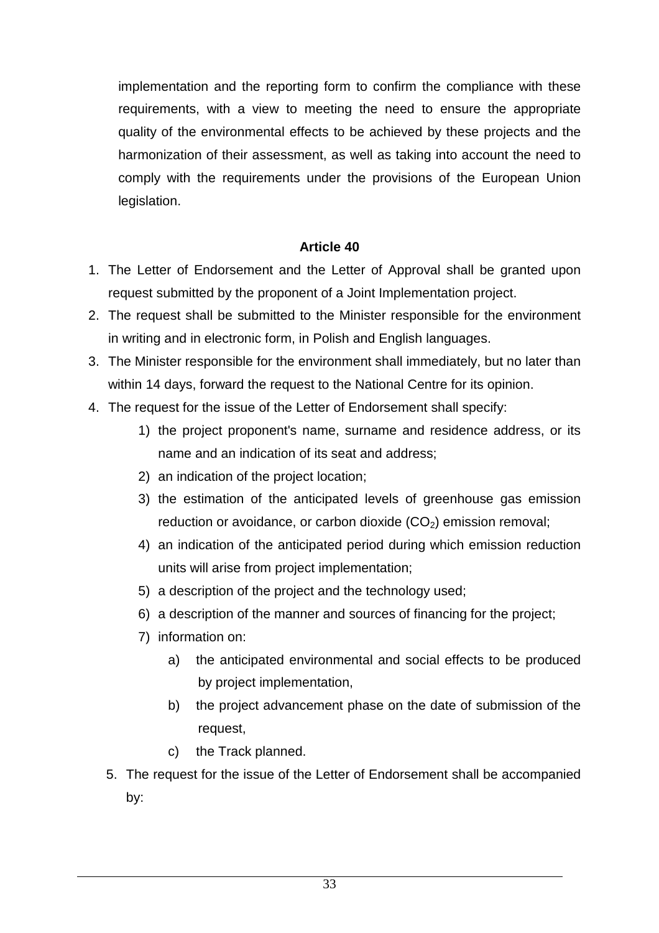implementation and the reporting form to confirm the compliance with these requirements, with a view to meeting the need to ensure the appropriate quality of the environmental effects to be achieved by these projects and the harmonization of their assessment, as well as taking into account the need to comply with the requirements under the provisions of the European Union legislation.

- 1. The Letter of Endorsement and the Letter of Approval shall be granted upon request submitted by the proponent of a Joint Implementation project.
- 2. The request shall be submitted to the Minister responsible for the environment in writing and in electronic form, in Polish and English languages.
- 3. The Minister responsible for the environment shall immediately, but no later than within 14 days, forward the request to the National Centre for its opinion.
- 4. The request for the issue of the Letter of Endorsement shall specify:
	- 1) the project proponent's name, surname and residence address, or its name and an indication of its seat and address;
	- 2) an indication of the project location;
	- 3) the estimation of the anticipated levels of greenhouse gas emission reduction or avoidance, or carbon dioxide  $(CO<sub>2</sub>)$  emission removal;
	- 4) an indication of the anticipated period during which emission reduction units will arise from project implementation;
	- 5) a description of the project and the technology used;
	- 6) a description of the manner and sources of financing for the project;
	- 7) information on:
		- a) the anticipated environmental and social effects to be produced by project implementation,
		- b) the project advancement phase on the date of submission of the request,
		- c) the Track planned.
	- 5. The request for the issue of the Letter of Endorsement shall be accompanied by: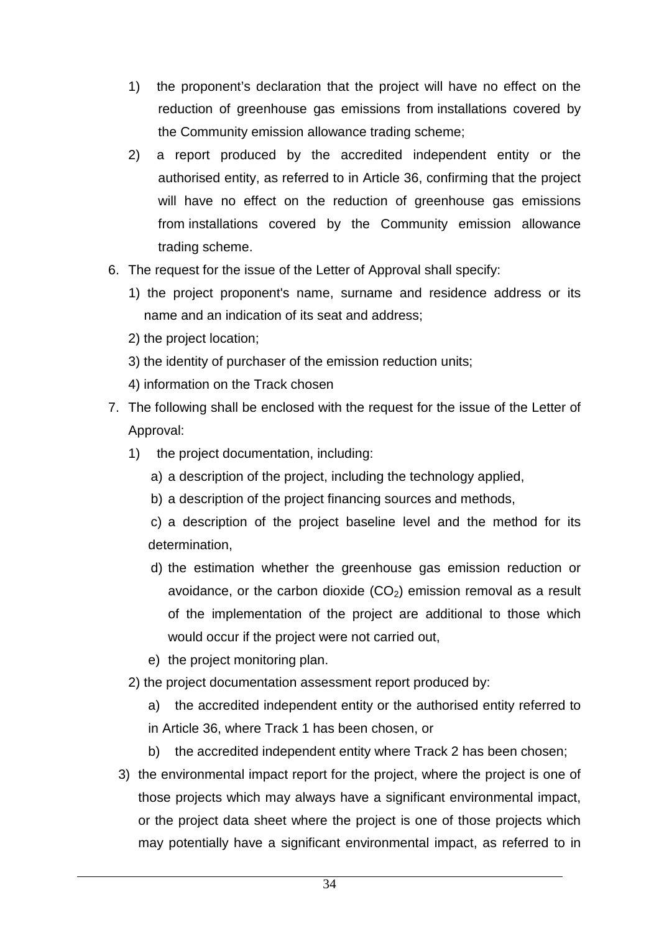- 1) the proponent's declaration that the project will have no effect on the reduction of greenhouse gas emissions from installations covered by the Community emission allowance trading scheme;
- 2) a report produced by the accredited independent entity or the authorised entity, as referred to in Article 36, confirming that the project will have no effect on the reduction of greenhouse gas emissions from installations covered by the Community emission allowance trading scheme.
- 6. The request for the issue of the Letter of Approval shall specify:
	- 1) the project proponent's name, surname and residence address or its name and an indication of its seat and address;
	- 2) the project location;
	- 3) the identity of purchaser of the emission reduction units;
	- 4) information on the Track chosen
- 7. The following shall be enclosed with the request for the issue of the Letter of Approval:
	- 1) the project documentation, including:
		- a) a description of the project, including the technology applied,
		- b) a description of the project financing sources and methods,
		- c) a description of the project baseline level and the method for its determination,
		- d) the estimation whether the greenhouse gas emission reduction or avoidance, or the carbon dioxide  $(CO<sub>2</sub>)$  emission removal as a result of the implementation of the project are additional to those which would occur if the project were not carried out,
		- e) the project monitoring plan.
	- 2) the project documentation assessment report produced by:
		- a) the accredited independent entity or the authorised entity referred to in Article 36, where Track 1 has been chosen, or
		- b) the accredited independent entity where Track 2 has been chosen;
	- 3) the environmental impact report for the project, where the project is one of those projects which may always have a significant environmental impact, or the project data sheet where the project is one of those projects which may potentially have a significant environmental impact, as referred to in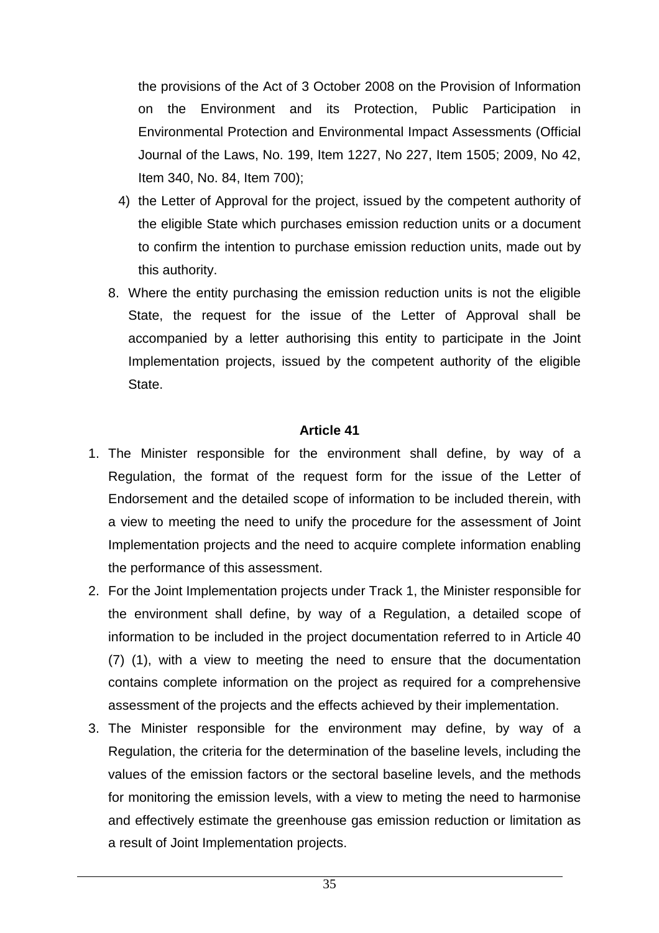the provisions of the Act of 3 October 2008 on the Provision of Information on the Environment and its Protection, Public Participation in Environmental Protection and Environmental Impact Assessments (Official Journal of the Laws, No. 199, Item 1227, No 227, Item 1505; 2009, No 42, Item 340, No. 84, Item 700);

- 4) the Letter of Approval for the project, issued by the competent authority of the eligible State which purchases emission reduction units or a document to confirm the intention to purchase emission reduction units, made out by this authority.
- 8. Where the entity purchasing the emission reduction units is not the eligible State, the request for the issue of the Letter of Approval shall be accompanied by a letter authorising this entity to participate in the Joint Implementation projects, issued by the competent authority of the eligible State.

- 1. The Minister responsible for the environment shall define, by way of a Regulation, the format of the request form for the issue of the Letter of Endorsement and the detailed scope of information to be included therein, with a view to meeting the need to unify the procedure for the assessment of Joint Implementation projects and the need to acquire complete information enabling the performance of this assessment.
- 2. For the Joint Implementation projects under Track 1, the Minister responsible for the environment shall define, by way of a Regulation, a detailed scope of information to be included in the project documentation referred to in Article 40 (7) (1), with a view to meeting the need to ensure that the documentation contains complete information on the project as required for a comprehensive assessment of the projects and the effects achieved by their implementation.
- 3. The Minister responsible for the environment may define, by way of a Regulation, the criteria for the determination of the baseline levels, including the values of the emission factors or the sectoral baseline levels, and the methods for monitoring the emission levels, with a view to meting the need to harmonise and effectively estimate the greenhouse gas emission reduction or limitation as a result of Joint Implementation projects.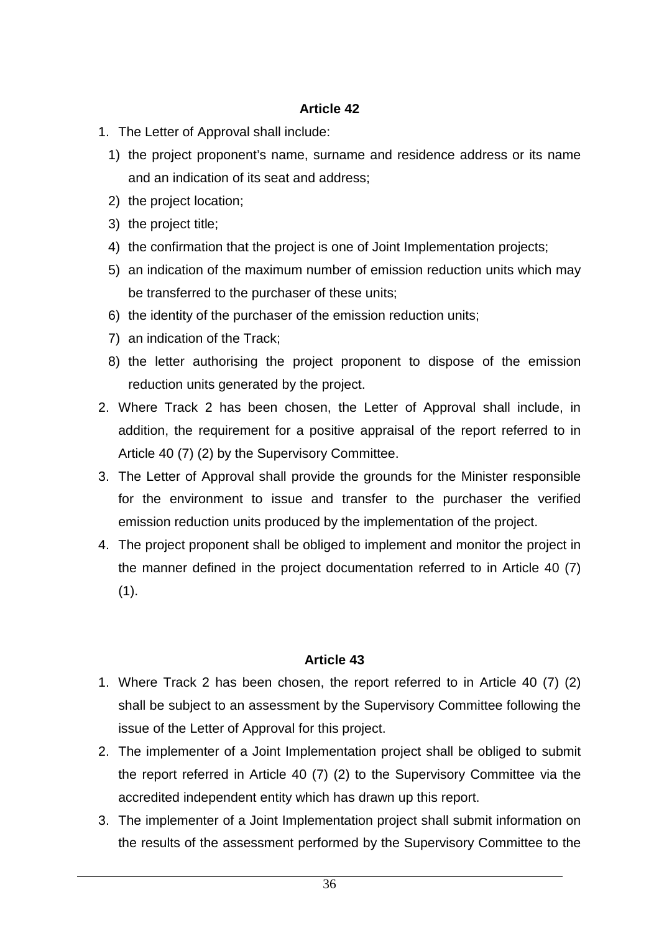- 1. The Letter of Approval shall include:
	- 1) the project proponent's name, surname and residence address or its name and an indication of its seat and address;
	- 2) the project location;
	- 3) the project title;
	- 4) the confirmation that the project is one of Joint Implementation projects;
	- 5) an indication of the maximum number of emission reduction units which may be transferred to the purchaser of these units;
	- 6) the identity of the purchaser of the emission reduction units;
	- 7) an indication of the Track;
	- 8) the letter authorising the project proponent to dispose of the emission reduction units generated by the project.
- 2. Where Track 2 has been chosen, the Letter of Approval shall include, in addition, the requirement for a positive appraisal of the report referred to in Article 40 (7) (2) by the Supervisory Committee.
- 3. The Letter of Approval shall provide the grounds for the Minister responsible for the environment to issue and transfer to the purchaser the verified emission reduction units produced by the implementation of the project.
- 4. The project proponent shall be obliged to implement and monitor the project in the manner defined in the project documentation referred to in Article 40 (7)  $(1).$

- 1. Where Track 2 has been chosen, the report referred to in Article 40 (7) (2) shall be subject to an assessment by the Supervisory Committee following the issue of the Letter of Approval for this project.
- 2. The implementer of a Joint Implementation project shall be obliged to submit the report referred in Article 40 (7) (2) to the Supervisory Committee via the accredited independent entity which has drawn up this report.
- 3. The implementer of a Joint Implementation project shall submit information on the results of the assessment performed by the Supervisory Committee to the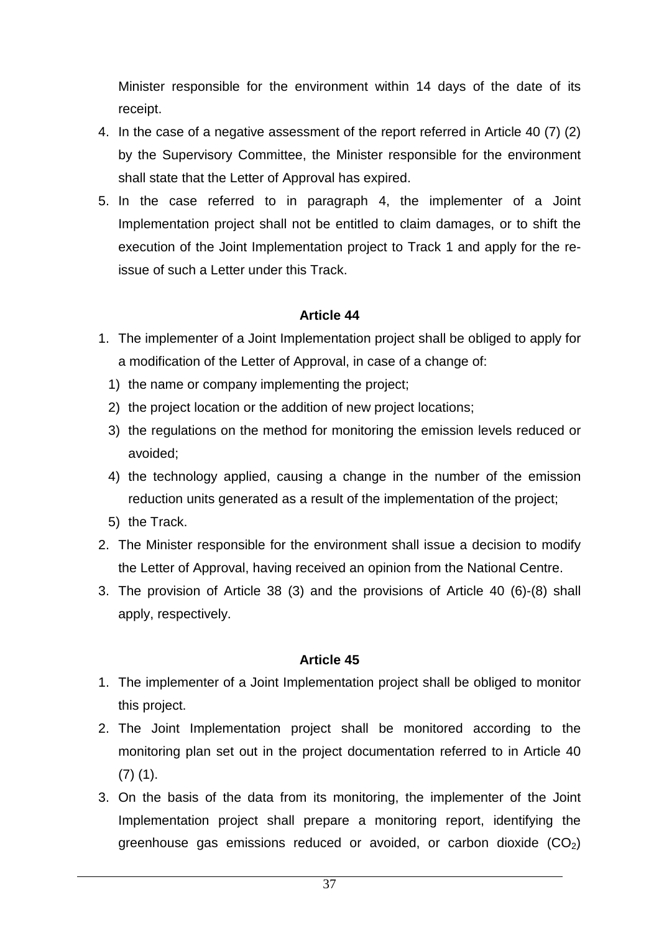Minister responsible for the environment within 14 days of the date of its receipt.

- 4. In the case of a negative assessment of the report referred in Article 40 (7) (2) by the Supervisory Committee, the Minister responsible for the environment shall state that the Letter of Approval has expired.
- 5. In the case referred to in paragraph 4, the implementer of a Joint Implementation project shall not be entitled to claim damages, or to shift the execution of the Joint Implementation project to Track 1 and apply for the reissue of such a Letter under this Track.

### **Article 44**

- 1. The implementer of a Joint Implementation project shall be obliged to apply for a modification of the Letter of Approval, in case of a change of:
	- 1) the name or company implementing the project;
	- 2) the project location or the addition of new project locations;
	- 3) the regulations on the method for monitoring the emission levels reduced or avoided;
	- 4) the technology applied, causing a change in the number of the emission reduction units generated as a result of the implementation of the project;
	- 5) the Track.
- 2. The Minister responsible for the environment shall issue a decision to modify the Letter of Approval, having received an opinion from the National Centre.
- 3. The provision of Article 38 (3) and the provisions of Article 40 (6)-(8) shall apply, respectively.

- 1. The implementer of a Joint Implementation project shall be obliged to monitor this project.
- 2. The Joint Implementation project shall be monitored according to the monitoring plan set out in the project documentation referred to in Article 40 (7) (1).
- 3. On the basis of the data from its monitoring, the implementer of the Joint Implementation project shall prepare a monitoring report, identifying the greenhouse gas emissions reduced or avoided, or carbon dioxide  $(CO<sub>2</sub>)$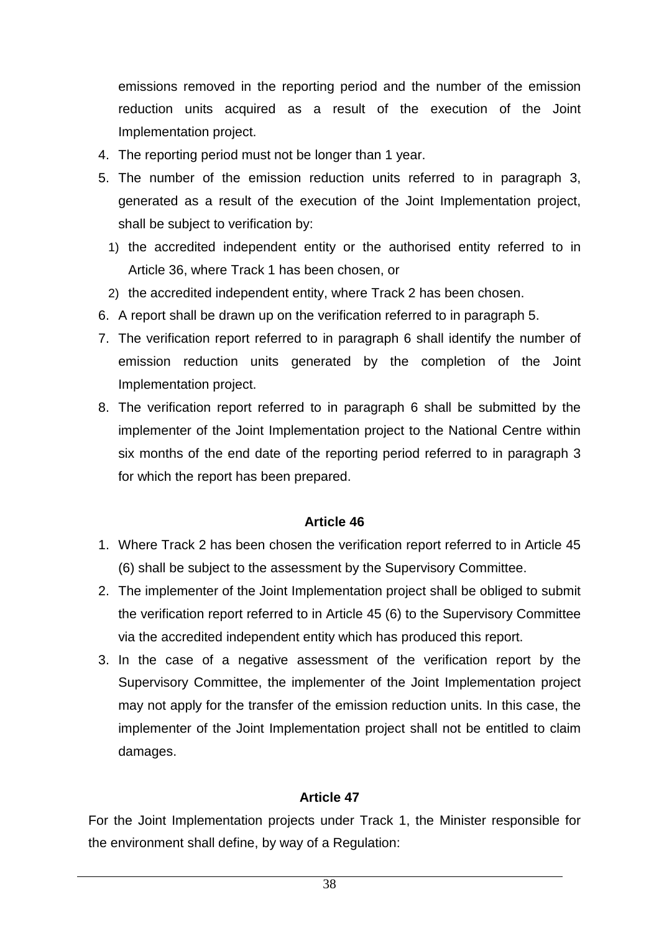emissions removed in the reporting period and the number of the emission reduction units acquired as a result of the execution of the Joint Implementation project.

- 4. The reporting period must not be longer than 1 year.
- 5. The number of the emission reduction units referred to in paragraph 3, generated as a result of the execution of the Joint Implementation project, shall be subject to verification by:
	- 1) the accredited independent entity or the authorised entity referred to in Article 36, where Track 1 has been chosen, or
	- 2) the accredited independent entity, where Track 2 has been chosen.
- 6. A report shall be drawn up on the verification referred to in paragraph 5.
- 7. The verification report referred to in paragraph 6 shall identify the number of emission reduction units generated by the completion of the Joint Implementation project.
- 8. The verification report referred to in paragraph 6 shall be submitted by the implementer of the Joint Implementation project to the National Centre within six months of the end date of the reporting period referred to in paragraph 3 for which the report has been prepared.

### **Article 46**

- 1. Where Track 2 has been chosen the verification report referred to in Article 45 (6) shall be subject to the assessment by the Supervisory Committee.
- 2. The implementer of the Joint Implementation project shall be obliged to submit the verification report referred to in Article 45 (6) to the Supervisory Committee via the accredited independent entity which has produced this report.
- 3. In the case of a negative assessment of the verification report by the Supervisory Committee, the implementer of the Joint Implementation project may not apply for the transfer of the emission reduction units. In this case, the implementer of the Joint Implementation project shall not be entitled to claim damages.

# **Article 47**

For the Joint Implementation projects under Track 1, the Minister responsible for the environment shall define, by way of a Regulation: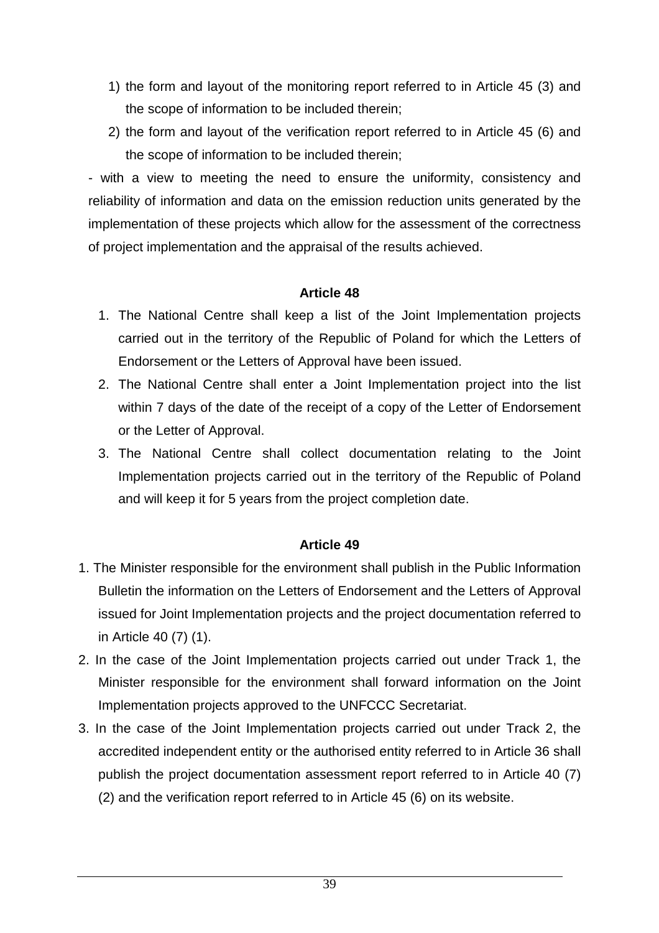- 1) the form and layout of the monitoring report referred to in Article 45 (3) and the scope of information to be included therein;
- 2) the form and layout of the verification report referred to in Article 45 (6) and the scope of information to be included therein;

- with a view to meeting the need to ensure the uniformity, consistency and reliability of information and data on the emission reduction units generated by the implementation of these projects which allow for the assessment of the correctness of project implementation and the appraisal of the results achieved.

### **Article 48**

- 1. The National Centre shall keep a list of the Joint Implementation projects carried out in the territory of the Republic of Poland for which the Letters of Endorsement or the Letters of Approval have been issued.
- 2. The National Centre shall enter a Joint Implementation project into the list within 7 days of the date of the receipt of a copy of the Letter of Endorsement or the Letter of Approval.
- 3. The National Centre shall collect documentation relating to the Joint Implementation projects carried out in the territory of the Republic of Poland and will keep it for 5 years from the project completion date.

- 1. The Minister responsible for the environment shall publish in the Public Information Bulletin the information on the Letters of Endorsement and the Letters of Approval issued for Joint Implementation projects and the project documentation referred to in Article 40 (7) (1).
- 2. In the case of the Joint Implementation projects carried out under Track 1, the Minister responsible for the environment shall forward information on the Joint Implementation projects approved to the UNFCCC Secretariat.
- 3. In the case of the Joint Implementation projects carried out under Track 2, the accredited independent entity or the authorised entity referred to in Article 36 shall publish the project documentation assessment report referred to in Article 40 (7) (2) and the verification report referred to in Article 45 (6) on its website.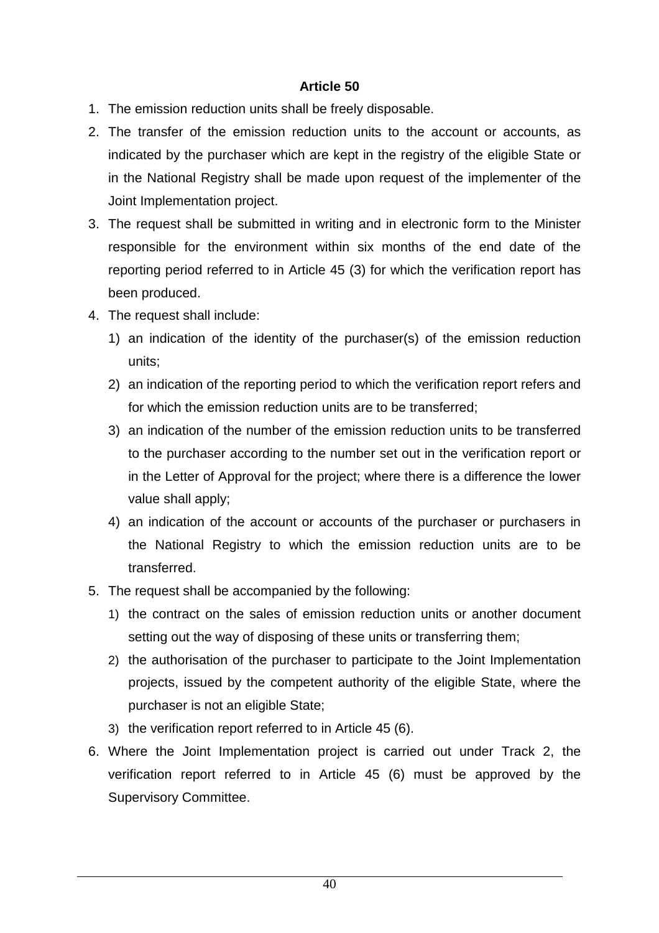- 1. The emission reduction units shall be freely disposable.
- 2. The transfer of the emission reduction units to the account or accounts, as indicated by the purchaser which are kept in the registry of the eligible State or in the National Registry shall be made upon request of the implementer of the Joint Implementation project.
- 3. The request shall be submitted in writing and in electronic form to the Minister responsible for the environment within six months of the end date of the reporting period referred to in Article 45 (3) for which the verification report has been produced.
- 4. The request shall include:
	- 1) an indication of the identity of the purchaser(s) of the emission reduction units;
	- 2) an indication of the reporting period to which the verification report refers and for which the emission reduction units are to be transferred;
	- 3) an indication of the number of the emission reduction units to be transferred to the purchaser according to the number set out in the verification report or in the Letter of Approval for the project; where there is a difference the lower value shall apply;
	- 4) an indication of the account or accounts of the purchaser or purchasers in the National Registry to which the emission reduction units are to be transferred.
- 5. The request shall be accompanied by the following:
	- 1) the contract on the sales of emission reduction units or another document setting out the way of disposing of these units or transferring them;
	- 2) the authorisation of the purchaser to participate to the Joint Implementation projects, issued by the competent authority of the eligible State, where the purchaser is not an eligible State;
	- 3) the verification report referred to in Article 45 (6).
- 6. Where the Joint Implementation project is carried out under Track 2, the verification report referred to in Article 45 (6) must be approved by the Supervisory Committee.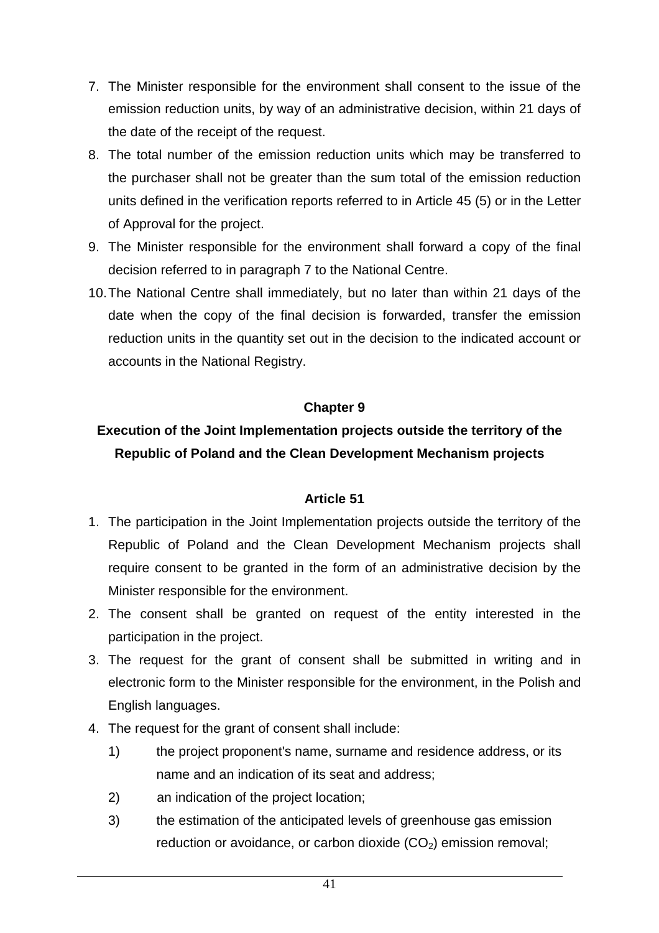- 7. The Minister responsible for the environment shall consent to the issue of the emission reduction units, by way of an administrative decision, within 21 days of the date of the receipt of the request.
- 8. The total number of the emission reduction units which may be transferred to the purchaser shall not be greater than the sum total of the emission reduction units defined in the verification reports referred to in Article 45 (5) or in the Letter of Approval for the project.
- 9. The Minister responsible for the environment shall forward a copy of the final decision referred to in paragraph 7 to the National Centre.
- 10. The National Centre shall immediately, but no later than within 21 days of the date when the copy of the final decision is forwarded, transfer the emission reduction units in the quantity set out in the decision to the indicated account or accounts in the National Registry.

## **Chapter 9**

# **Execution of the Joint Implementation projects outside the territory of the Republic of Poland and the Clean Development Mechanism projects**

- 1. The participation in the Joint Implementation projects outside the territory of the Republic of Poland and the Clean Development Mechanism projects shall require consent to be granted in the form of an administrative decision by the Minister responsible for the environment.
- 2. The consent shall be granted on request of the entity interested in the participation in the project.
- 3. The request for the grant of consent shall be submitted in writing and in electronic form to the Minister responsible for the environment, in the Polish and English languages.
- 4. The request for the grant of consent shall include:
	- 1) the project proponent's name, surname and residence address, or its name and an indication of its seat and address;
	- 2) an indication of the project location;
	- 3) the estimation of the anticipated levels of greenhouse gas emission reduction or avoidance, or carbon dioxide (CO<sub>2</sub>) emission removal: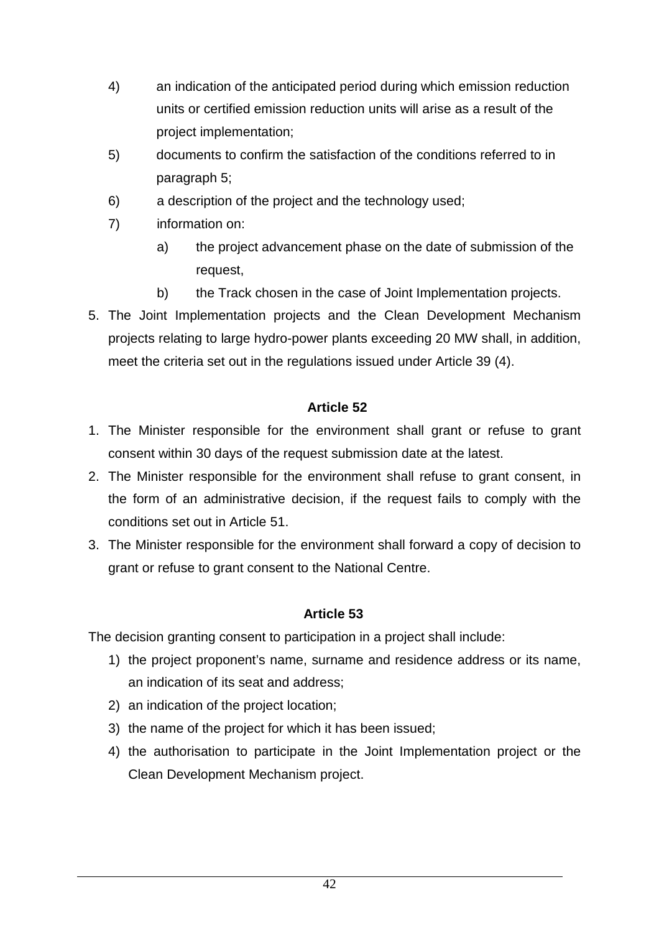- 4) an indication of the anticipated period during which emission reduction units or certified emission reduction units will arise as a result of the project implementation;
- 5) documents to confirm the satisfaction of the conditions referred to in paragraph 5;
- 6) a description of the project and the technology used;
- 7) information on:
	- a) the project advancement phase on the date of submission of the request,
	- b) the Track chosen in the case of Joint Implementation projects.
- 5. The Joint Implementation projects and the Clean Development Mechanism projects relating to large hydro-power plants exceeding 20 MW shall, in addition, meet the criteria set out in the regulations issued under Article 39 (4).

- 1. The Minister responsible for the environment shall grant or refuse to grant consent within 30 days of the request submission date at the latest.
- 2. The Minister responsible for the environment shall refuse to grant consent, in the form of an administrative decision, if the request fails to comply with the conditions set out in Article 51.
- 3. The Minister responsible for the environment shall forward a copy of decision to grant or refuse to grant consent to the National Centre.

### **Article 53**

The decision granting consent to participation in a project shall include:

- 1) the project proponent's name, surname and residence address or its name, an indication of its seat and address;
- 2) an indication of the project location;
- 3) the name of the project for which it has been issued;
- 4) the authorisation to participate in the Joint Implementation project or the Clean Development Mechanism project.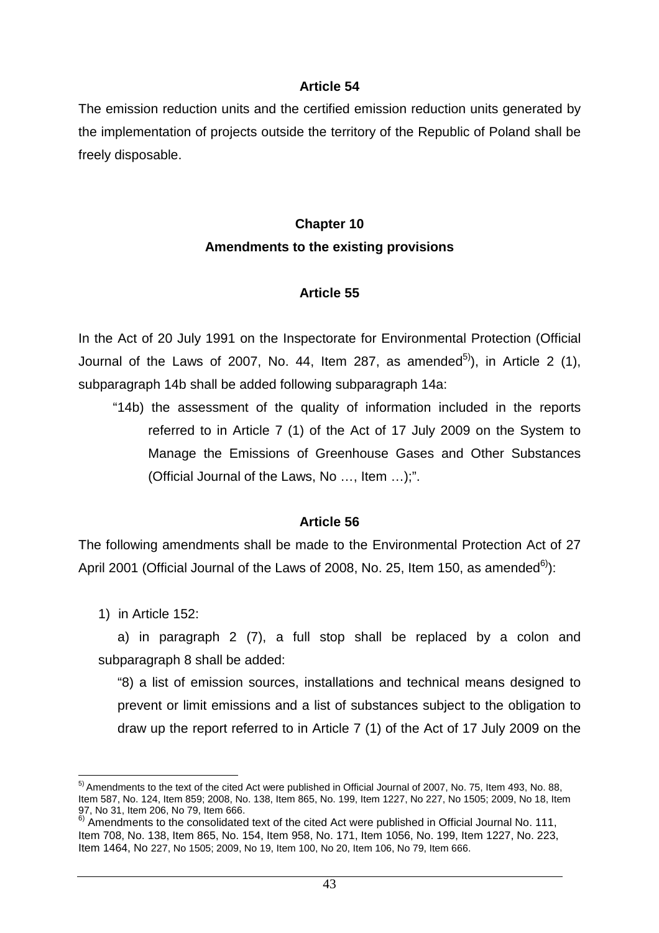The emission reduction units and the certified emission reduction units generated by the implementation of projects outside the territory of the Republic of Poland shall be freely disposable.

# **Chapter 10 Amendments to the existing provisions**

### **Article 55**

In the Act of 20 July 1991 on the Inspectorate for Environmental Protection (Official Journal of the Laws of 2007, No. 44, Item 287, as amended<sup>5)</sup>), in Article 2 (1), subparagraph 14b shall be added following subparagraph 14a:

"14b) the assessment of the quality of information included in the reports referred to in Article 7 (1) of the Act of 17 July 2009 on the System to Manage the Emissions of Greenhouse Gases and Other Substances (Official Journal of the Laws, No …, Item …);".

### **Article 56**

The following amendments shall be made to the Environmental Protection Act of 27 April 2001 (Official Journal of the Laws of 2008, No. 25, Item 150, as amended<sup>6</sup>):

1) in Article 152:

a) in paragraph 2 (7), a full stop shall be replaced by a colon and subparagraph 8 shall be added:

"8) a list of emission sources, installations and technical means designed to prevent or limit emissions and a list of substances subject to the obligation to draw up the report referred to in Article 7 (1) of the Act of 17 July 2009 on the

 $\overline{a}$  $<sup>5</sup>$  Amendments to the text of the cited Act were published in Official Journal of 2007, No. 75, Item 493, No. 88,</sup> Item 587, No. 124, Item 859; 2008, No. 138, Item 865, No. 199, Item 1227, No 227, No 1505; 2009, No 18, Item 97, No 31, Item 206, No 79, Item 666.

 $6)$  Amendments to the consolidated text of the cited Act were published in Official Journal No. 111, Item 708, No. 138, Item 865, No. 154, Item 958, No. 171, Item 1056, No. 199, Item 1227, No. 223, Item 1464, No 227, No 1505; 2009, No 19, Item 100, No 20, Item 106, No 79, Item 666.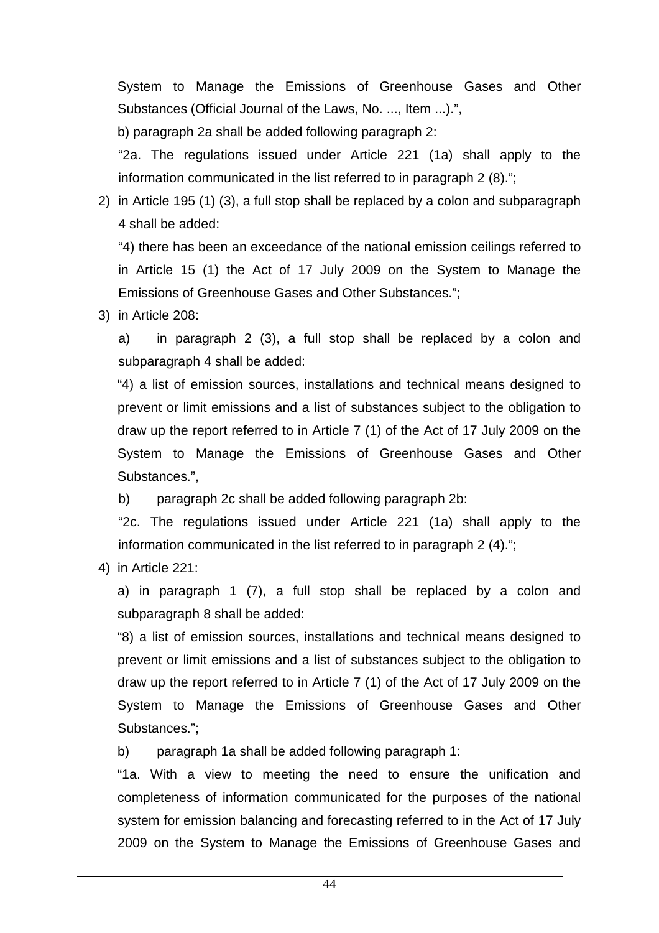System to Manage the Emissions of Greenhouse Gases and Other Substances (Official Journal of the Laws, No. ..., Item ...).",

b) paragraph 2a shall be added following paragraph 2:

"2a. The regulations issued under Article 221 (1a) shall apply to the information communicated in the list referred to in paragraph 2 (8).";

2) in Article 195 (1) (3), a full stop shall be replaced by a colon and subparagraph 4 shall be added:

"4) there has been an exceedance of the national emission ceilings referred to in Article 15 (1) the Act of 17 July 2009 on the System to Manage the Emissions of Greenhouse Gases and Other Substances.";

3) in Article 208:

a) in paragraph 2 (3), a full stop shall be replaced by a colon and subparagraph 4 shall be added:

"4) a list of emission sources, installations and technical means designed to prevent or limit emissions and a list of substances subject to the obligation to draw up the report referred to in Article 7 (1) of the Act of 17 July 2009 on the System to Manage the Emissions of Greenhouse Gases and Other Substances.",

b) paragraph 2c shall be added following paragraph 2b:

"2c. The regulations issued under Article 221 (1a) shall apply to the information communicated in the list referred to in paragraph 2 (4).";

4) in Article 221:

a) in paragraph 1 (7), a full stop shall be replaced by a colon and subparagraph 8 shall be added:

"8) a list of emission sources, installations and technical means designed to prevent or limit emissions and a list of substances subject to the obligation to draw up the report referred to in Article 7 (1) of the Act of 17 July 2009 on the System to Manage the Emissions of Greenhouse Gases and Other Substances.";

b) paragraph 1a shall be added following paragraph 1:

"1a. With a view to meeting the need to ensure the unification and completeness of information communicated for the purposes of the national system for emission balancing and forecasting referred to in the Act of 17 July 2009 on the System to Manage the Emissions of Greenhouse Gases and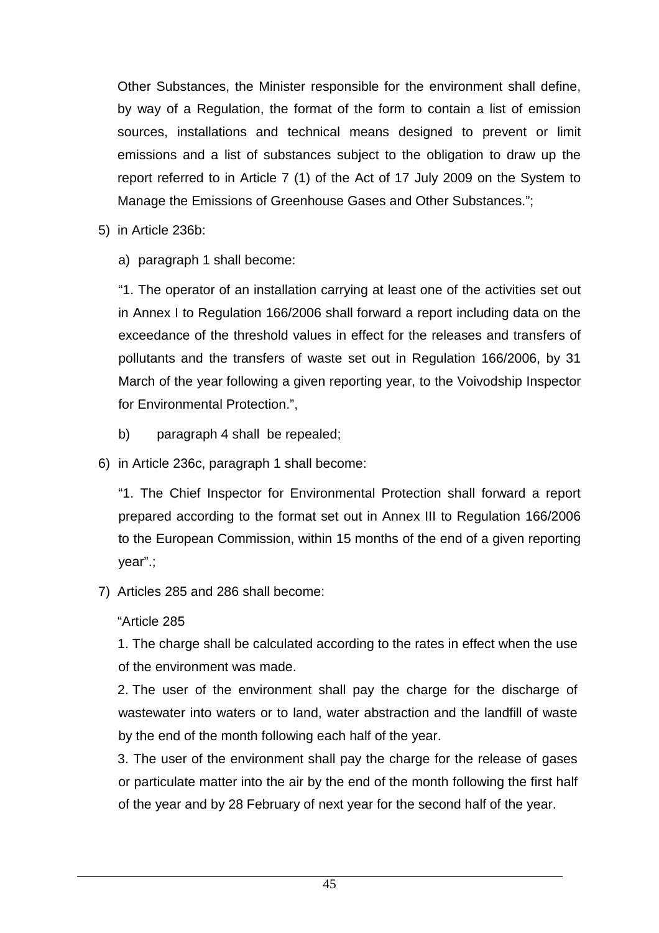Other Substances, the Minister responsible for the environment shall define, by way of a Regulation, the format of the form to contain a list of emission sources, installations and technical means designed to prevent or limit emissions and a list of substances subject to the obligation to draw up the report referred to in Article 7 (1) of the Act of 17 July 2009 on the System to Manage the Emissions of Greenhouse Gases and Other Substances.";

- 5) in Article 236b:
	- a) paragraph 1 shall become:

"1. The operator of an installation carrying at least one of the activities set out in Annex I to Regulation 166/2006 shall forward a report including data on the exceedance of the threshold values in effect for the releases and transfers of pollutants and the transfers of waste set out in Regulation 166/2006, by 31 March of the year following a given reporting year, to the Voivodship Inspector for Environmental Protection.",

- b) paragraph 4 shall be repealed;
- 6) in Article 236c, paragraph 1 shall become:

"1. The Chief Inspector for Environmental Protection shall forward a report prepared according to the format set out in Annex III to Regulation 166/2006 to the European Commission, within 15 months of the end of a given reporting year".;

7) Articles 285 and 286 shall become:

"Article 285

1. The charge shall be calculated according to the rates in effect when the use of the environment was made.

2. The user of the environment shall pay the charge for the discharge of wastewater into waters or to land, water abstraction and the landfill of waste by the end of the month following each half of the year.

3. The user of the environment shall pay the charge for the release of gases or particulate matter into the air by the end of the month following the first half of the year and by 28 February of next year for the second half of the year.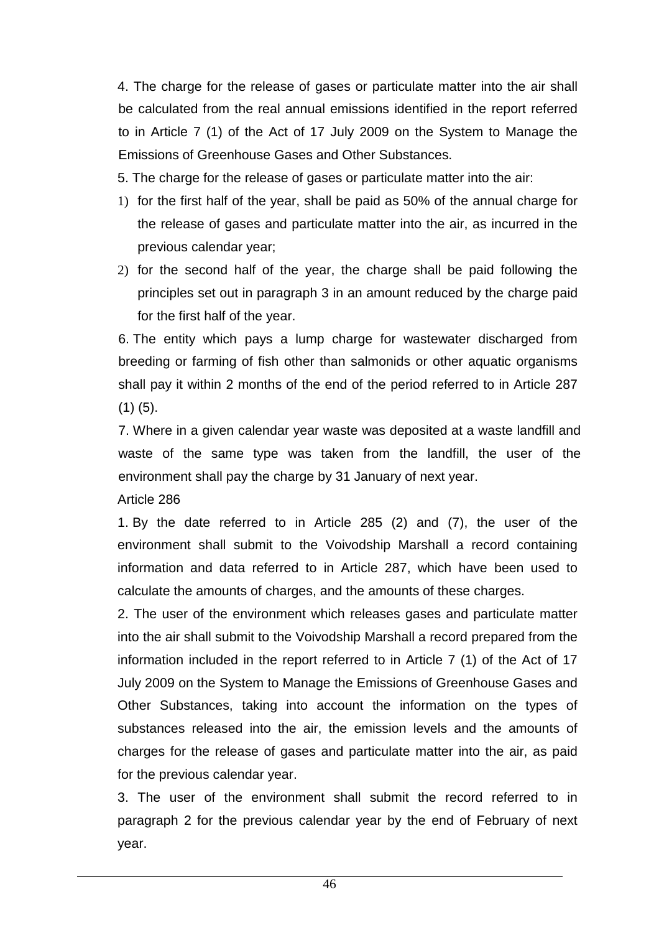4. The charge for the release of gases or particulate matter into the air shall be calculated from the real annual emissions identified in the report referred to in Article 7 (1) of the Act of 17 July 2009 on the System to Manage the Emissions of Greenhouse Gases and Other Substances.

- 5. The charge for the release of gases or particulate matter into the air:
- 1) for the first half of the year, shall be paid as 50% of the annual charge for the release of gases and particulate matter into the air, as incurred in the previous calendar year;
- 2) for the second half of the year, the charge shall be paid following the principles set out in paragraph 3 in an amount reduced by the charge paid for the first half of the year.

6. The entity which pays a lump charge for wastewater discharged from breeding or farming of fish other than salmonids or other aquatic organisms shall pay it within 2 months of the end of the period referred to in Article 287  $(1)$   $(5)$ .

7. Where in a given calendar year waste was deposited at a waste landfill and waste of the same type was taken from the landfill, the user of the environment shall pay the charge by 31 January of next year.

Article 286

1. By the date referred to in Article 285 (2) and (7), the user of the environment shall submit to the Voivodship Marshall a record containing information and data referred to in Article 287, which have been used to calculate the amounts of charges, and the amounts of these charges.

2. The user of the environment which releases gases and particulate matter into the air shall submit to the Voivodship Marshall a record prepared from the information included in the report referred to in Article 7 (1) of the Act of 17 July 2009 on the System to Manage the Emissions of Greenhouse Gases and Other Substances, taking into account the information on the types of substances released into the air, the emission levels and the amounts of charges for the release of gases and particulate matter into the air, as paid for the previous calendar year.

3. The user of the environment shall submit the record referred to in paragraph 2 for the previous calendar year by the end of February of next year.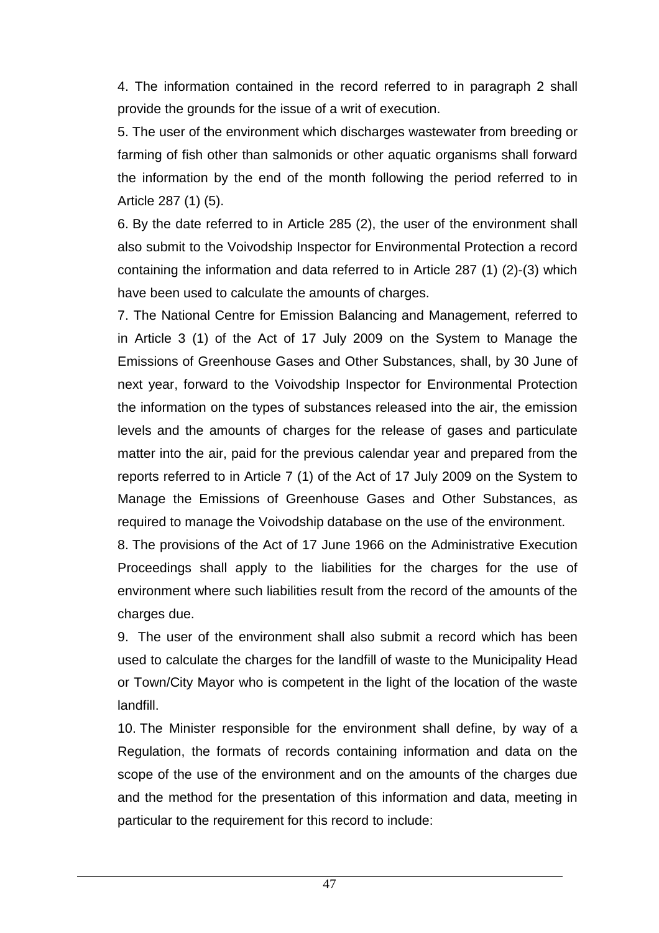4. The information contained in the record referred to in paragraph 2 shall provide the grounds for the issue of a writ of execution.

5. The user of the environment which discharges wastewater from breeding or farming of fish other than salmonids or other aquatic organisms shall forward the information by the end of the month following the period referred to in Article 287 (1) (5).

6. By the date referred to in Article 285 (2), the user of the environment shall also submit to the Voivodship Inspector for Environmental Protection a record containing the information and data referred to in Article 287 (1) (2)-(3) which have been used to calculate the amounts of charges.

7. The National Centre for Emission Balancing and Management, referred to in Article 3 (1) of the Act of 17 July 2009 on the System to Manage the Emissions of Greenhouse Gases and Other Substances, shall, by 30 June of next year, forward to the Voivodship Inspector for Environmental Protection the information on the types of substances released into the air, the emission levels and the amounts of charges for the release of gases and particulate matter into the air, paid for the previous calendar year and prepared from the reports referred to in Article 7 (1) of the Act of 17 July 2009 on the System to Manage the Emissions of Greenhouse Gases and Other Substances, as required to manage the Voivodship database on the use of the environment.

8. The provisions of the Act of 17 June 1966 on the Administrative Execution Proceedings shall apply to the liabilities for the charges for the use of environment where such liabilities result from the record of the amounts of the charges due.

9. The user of the environment shall also submit a record which has been used to calculate the charges for the landfill of waste to the Municipality Head or Town/City Mayor who is competent in the light of the location of the waste landfill.

10. The Minister responsible for the environment shall define, by way of a Regulation, the formats of records containing information and data on the scope of the use of the environment and on the amounts of the charges due and the method for the presentation of this information and data, meeting in particular to the requirement for this record to include: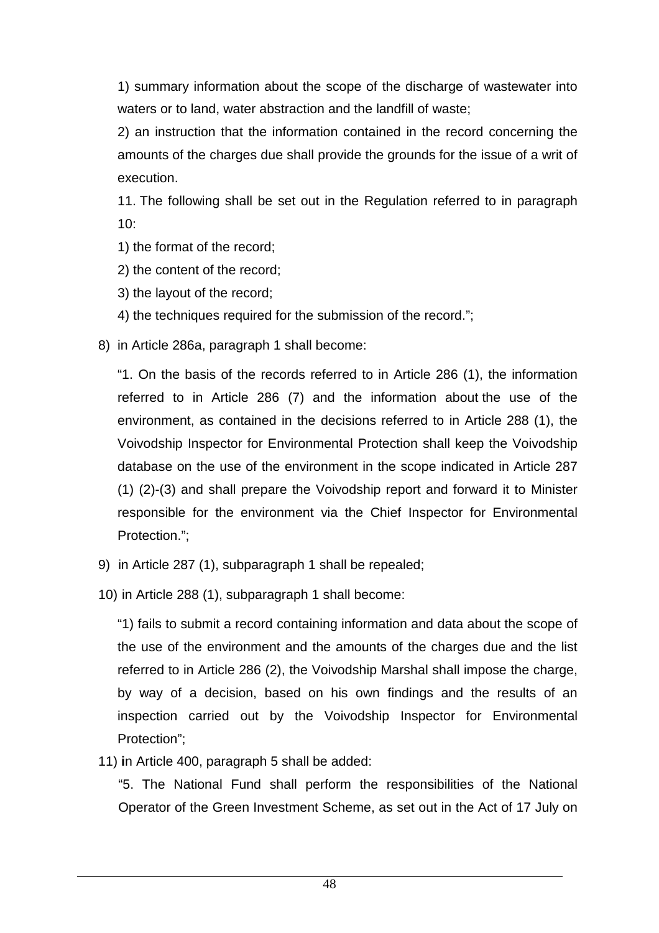1) summary information about the scope of the discharge of wastewater into waters or to land, water abstraction and the landfill of waste;

2) an instruction that the information contained in the record concerning the amounts of the charges due shall provide the grounds for the issue of a writ of execution.

11. The following shall be set out in the Regulation referred to in paragraph 10:

- 1) the format of the record;
- 2) the content of the record;
- 3) the layout of the record;
- 4) the techniques required for the submission of the record.";
- 8) in Article 286a, paragraph 1 shall become:

"1. On the basis of the records referred to in Article 286 (1), the information referred to in Article 286 (7) and the information about the use of the environment, as contained in the decisions referred to in Article 288 (1), the Voivodship Inspector for Environmental Protection shall keep the Voivodship database on the use of the environment in the scope indicated in Article 287 (1) (2)-(3) and shall prepare the Voivodship report and forward it to Minister responsible for the environment via the Chief Inspector for Environmental Protection.";

- 9) in Article 287 (1), subparagraph 1 shall be repealed;
- 10) in Article 288 (1), subparagraph 1 shall become:

"1) fails to submit a record containing information and data about the scope of the use of the environment and the amounts of the charges due and the list referred to in Article 286 (2), the Voivodship Marshal shall impose the charge, by way of a decision, based on his own findings and the results of an inspection carried out by the Voivodship Inspector for Environmental Protection";

11) **i**n Article 400, paragraph 5 shall be added:

"5. The National Fund shall perform the responsibilities of the National Operator of the Green Investment Scheme, as set out in the Act of 17 July on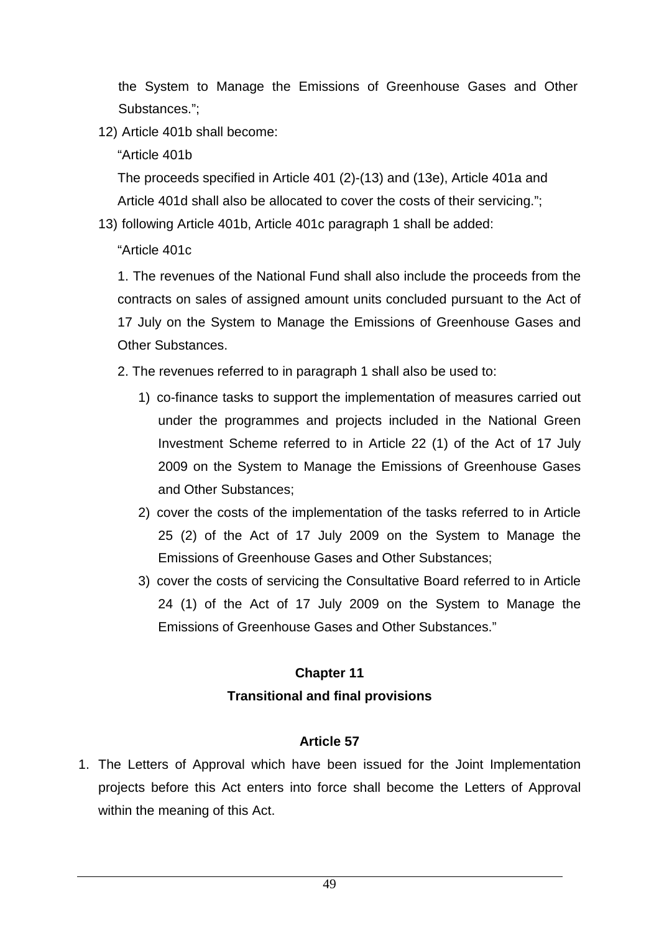the System to Manage the Emissions of Greenhouse Gases and Other Substances.";

12) Article 401b shall become:

"Article 401b

The proceeds specified in Article 401 (2)-(13) and (13e), Article 401a and Article 401d shall also be allocated to cover the costs of their servicing.";

13) following Article 401b, Article 401c paragraph 1 shall be added:

"Article 401c

1. The revenues of the National Fund shall also include the proceeds from the contracts on sales of assigned amount units concluded pursuant to the Act of 17 July on the System to Manage the Emissions of Greenhouse Gases and Other Substances.

2. The revenues referred to in paragraph 1 shall also be used to:

- 1) co-finance tasks to support the implementation of measures carried out under the programmes and projects included in the National Green Investment Scheme referred to in Article 22 (1) of the Act of 17 July 2009 on the System to Manage the Emissions of Greenhouse Gases and Other Substances;
- 2) cover the costs of the implementation of the tasks referred to in Article 25 (2) of the Act of 17 July 2009 on the System to Manage the Emissions of Greenhouse Gases and Other Substances;
- 3) cover the costs of servicing the Consultative Board referred to in Article 24 (1) of the Act of 17 July 2009 on the System to Manage the Emissions of Greenhouse Gases and Other Substances."

# **Chapter 11 Transitional and final provisions**

### **Article 57**

1. The Letters of Approval which have been issued for the Joint Implementation projects before this Act enters into force shall become the Letters of Approval within the meaning of this Act.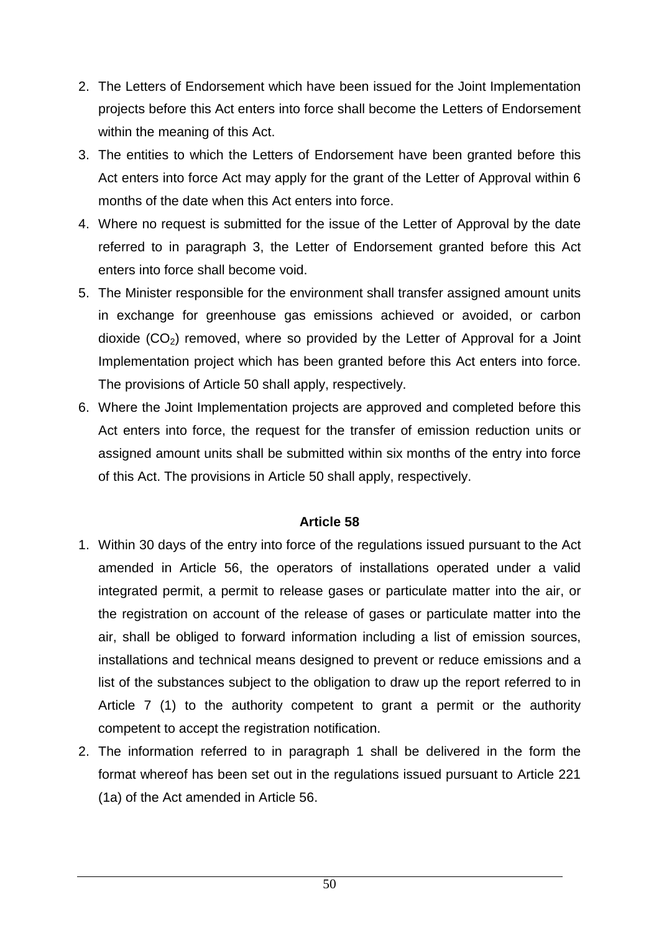- 2. The Letters of Endorsement which have been issued for the Joint Implementation projects before this Act enters into force shall become the Letters of Endorsement within the meaning of this Act.
- 3. The entities to which the Letters of Endorsement have been granted before this Act enters into force Act may apply for the grant of the Letter of Approval within 6 months of the date when this Act enters into force.
- 4. Where no request is submitted for the issue of the Letter of Approval by the date referred to in paragraph 3, the Letter of Endorsement granted before this Act enters into force shall become void.
- 5. The Minister responsible for the environment shall transfer assigned amount units in exchange for greenhouse gas emissions achieved or avoided, or carbon dioxide  $(CO<sub>2</sub>)$  removed, where so provided by the Letter of Approval for a Joint Implementation project which has been granted before this Act enters into force. The provisions of Article 50 shall apply, respectively.
- 6. Where the Joint Implementation projects are approved and completed before this Act enters into force, the request for the transfer of emission reduction units or assigned amount units shall be submitted within six months of the entry into force of this Act. The provisions in Article 50 shall apply, respectively.

- 1. Within 30 days of the entry into force of the regulations issued pursuant to the Act amended in Article 56, the operators of installations operated under a valid integrated permit, a permit to release gases or particulate matter into the air, or the registration on account of the release of gases or particulate matter into the air, shall be obliged to forward information including a list of emission sources, installations and technical means designed to prevent or reduce emissions and a list of the substances subject to the obligation to draw up the report referred to in Article 7 (1) to the authority competent to grant a permit or the authority competent to accept the registration notification.
- 2. The information referred to in paragraph 1 shall be delivered in the form the format whereof has been set out in the regulations issued pursuant to Article 221 (1a) of the Act amended in Article 56.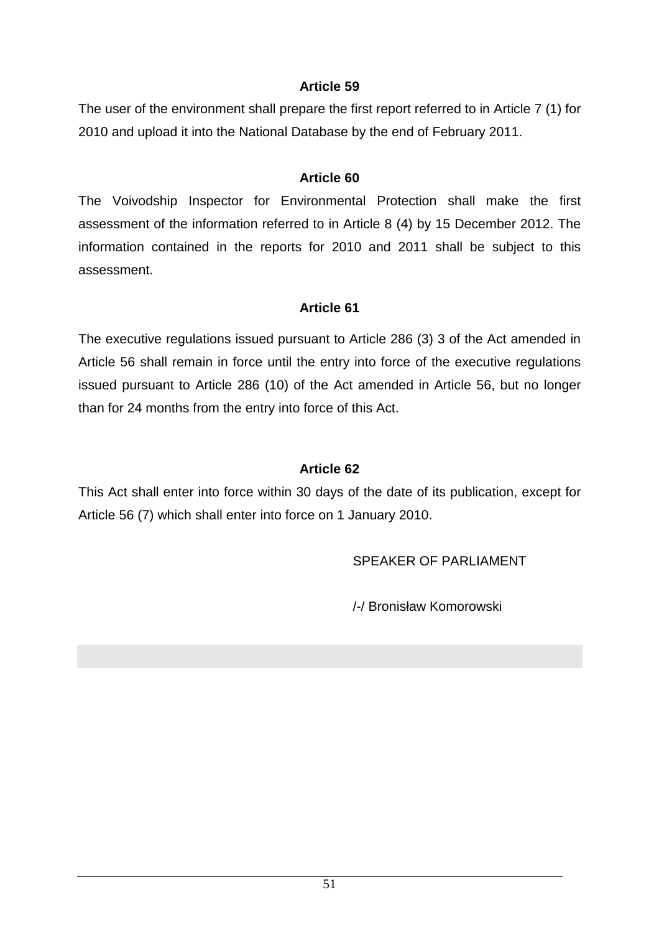The user of the environment shall prepare the first report referred to in Article 7 (1) for 2010 and upload it into the National Database by the end of February 2011.

#### **Article 60**

The Voivodship Inspector for Environmental Protection shall make the first assessment of the information referred to in Article 8 (4) by 15 December 2012. The information contained in the reports for 2010 and 2011 shall be subject to this assessment.

#### **Article 61**

The executive regulations issued pursuant to Article 286 (3) 3 of the Act amended in Article 56 shall remain in force until the entry into force of the executive regulations issued pursuant to Article 286 (10) of the Act amended in Article 56, but no longer than for 24 months from the entry into force of this Act.

### **Article 62**

This Act shall enter into force within 30 days of the date of its publication, except for Article 56 (7) which shall enter into force on 1 January 2010.

SPEAKER OF PARLIAMENT

/-/ Bronisław Komorowski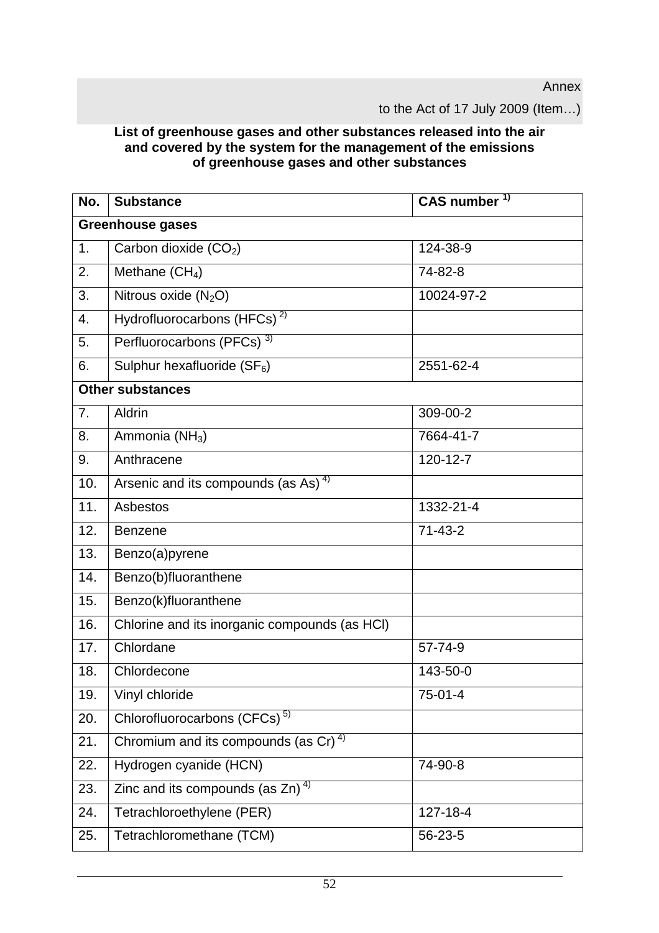Annex

to the Act of 17 July 2009 (Item…)

#### **List of greenhouse gases and other substances released into the air and covered by the system for the management of the emissions of greenhouse gases and other substances**

| No.                     | <b>Substance</b>                                 | CAS number <sup>1)</sup> |  |  |
|-------------------------|--------------------------------------------------|--------------------------|--|--|
| <b>Greenhouse gases</b> |                                                  |                          |  |  |
| 1.                      | Carbon dioxide (CO <sub>2</sub> )                | 124-38-9                 |  |  |
| 2.                      | Methane $(CH_4)$                                 | 74-82-8                  |  |  |
| 3.                      | Nitrous oxide $(N_2O)$                           | 10024-97-2               |  |  |
| 4.                      | Hydrofluorocarbons (HFCs) <sup>2)</sup>          |                          |  |  |
| 5.                      | Perfluorocarbons (PFCs) <sup>3)</sup>            |                          |  |  |
| 6.                      | Sulphur hexafluoride $(SF_6)$                    | 2551-62-4                |  |  |
| <b>Other substances</b> |                                                  |                          |  |  |
| 7.                      | Aldrin                                           | 309-00-2                 |  |  |
| 8.                      | Ammonia (NH <sub>3</sub> )                       | 7664-41-7                |  |  |
| 9.                      | Anthracene                                       | 120-12-7                 |  |  |
| 10.                     | Arsenic and its compounds (as As) <sup>4)</sup>  |                          |  |  |
| 11.                     | Asbestos                                         | 1332-21-4                |  |  |
| 12.                     | <b>Benzene</b>                                   | $71 - 43 - 2$            |  |  |
| 13.                     | Benzo(a)pyrene                                   |                          |  |  |
| 14.                     | Benzo(b)fluoranthene                             |                          |  |  |
| 15.                     | Benzo(k)fluoranthene                             |                          |  |  |
| 16.                     | Chlorine and its inorganic compounds (as HCI)    |                          |  |  |
| 17.                     | Chlordane                                        | 57-74-9                  |  |  |
| 18.                     | Chlordecone                                      | 143-50-0                 |  |  |
| 19.                     | Vinyl chloride                                   | $75-01-4$                |  |  |
| 20.                     | Chlorofluorocarbons (CFCs) <sup>5)</sup>         |                          |  |  |
| 21.                     | Chromium and its compounds (as Cr) <sup>4)</sup> |                          |  |  |
| 22.                     | Hydrogen cyanide (HCN)                           | 74-90-8                  |  |  |
| 23.                     | Zinc and its compounds (as $Zn$ ) <sup>4)</sup>  |                          |  |  |
| 24.                     | Tetrachloroethylene (PER)                        | 127-18-4                 |  |  |
| 25.                     | Tetrachloromethane (TCM)                         | 56-23-5                  |  |  |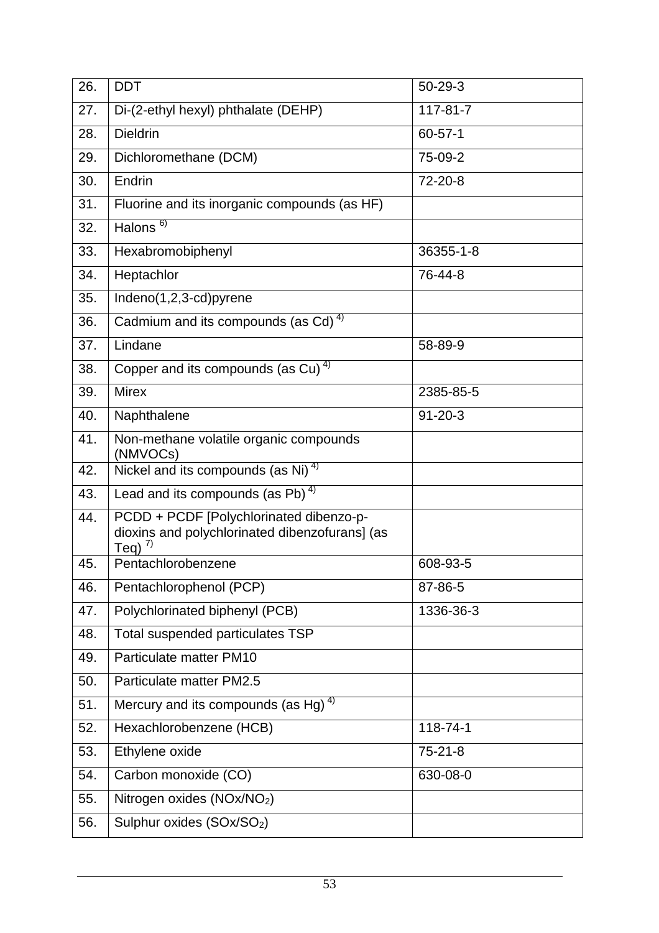| 26. | <b>DDT</b>                                                                                                | $50 - 29 - 3$ |
|-----|-----------------------------------------------------------------------------------------------------------|---------------|
| 27. | Di-(2-ethyl hexyl) phthalate (DEHP)                                                                       | 117-81-7      |
| 28. | <b>Dieldrin</b>                                                                                           | $60 - 57 - 1$ |
| 29. | Dichloromethane (DCM)                                                                                     | 75-09-2       |
| 30. | Endrin                                                                                                    | 72-20-8       |
| 31. | Fluorine and its inorganic compounds (as HF)                                                              |               |
| 32. | Halons $6$                                                                                                |               |
| 33. | Hexabromobiphenyl                                                                                         | 36355-1-8     |
| 34. | Heptachlor                                                                                                | 76-44-8       |
| 35. | Indeno(1,2,3-cd)pyrene                                                                                    |               |
| 36. | Cadmium and its compounds (as Cd) <sup>4)</sup>                                                           |               |
| 37. | Lindane                                                                                                   | 58-89-9       |
| 38. | Copper and its compounds (as Cu) <sup>4)</sup>                                                            |               |
| 39. | <b>Mirex</b>                                                                                              | 2385-85-5     |
| 40. | Naphthalene                                                                                               | $91 - 20 - 3$ |
| 41. | Non-methane volatile organic compounds<br>(NMVOCs)                                                        |               |
| 42. | Nickel and its compounds (as $N_i$ ) <sup>4)</sup>                                                        |               |
| 43. | Lead and its compounds (as Pb) $4$ )                                                                      |               |
| 44. | PCDD + PCDF [Polychlorinated dibenzo-p-<br>dioxins and polychlorinated dibenzofurans] (as<br>Teq) $^{7)}$ |               |
| 45. | Pentachlorobenzene                                                                                        | 608-93-5      |
| 46. | Pentachlorophenol (PCP)                                                                                   | 87-86-5       |
| 47. | Polychlorinated biphenyl (PCB)                                                                            | 1336-36-3     |
| 48. | Total suspended particulates TSP                                                                          |               |
| 49. | Particulate matter PM10                                                                                   |               |
| 50. | Particulate matter PM2.5                                                                                  |               |
| 51. | Mercury and its compounds (as Hg) $4$ )                                                                   |               |
| 52. | Hexachlorobenzene (HCB)                                                                                   | 118-74-1      |
| 53. | Ethylene oxide                                                                                            | $75 - 21 - 8$ |
| 54. | Carbon monoxide (CO)                                                                                      | 630-08-0      |
| 55. | Nitrogen oxides (NOx/NO <sub>2</sub> )                                                                    |               |
| 56. | Sulphur oxides (SOx/SO <sub>2</sub> )                                                                     |               |